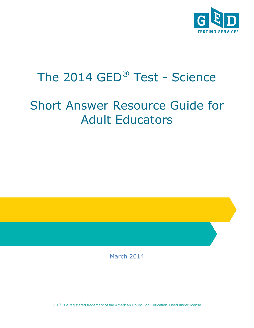

# The 2014 GED® Test - Science

# Short Answer Resource Guide for Adult Educators

March 2014

GED<sup>®</sup> is a registered trademark of the American Council on Education. Used under license.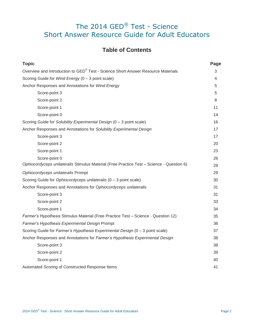# The 2014 GED® Test - Science Short Answer Resource Guide for Adult Educators

# **Table of Contents**

| <b>Topic</b>                                                                              | Page |
|-------------------------------------------------------------------------------------------|------|
| Overview and Introduction to GED® Test - Science Short Answer Resource Materials          | 3    |
| Scoring Guide for Wind Energy (0 - 3 point scale)                                         | 4    |
| Anchor Responses and Annotations for Wind Energy                                          | 5    |
| Score-point 3                                                                             | 5    |
| Score-point 2                                                                             | 8    |
| Score-point 1                                                                             | 11   |
| Score-point 0                                                                             | 14   |
| Scoring Guide for Solubility Experimental Design (0 - 3 point scale)                      | 16   |
| Anchor Responses and Annotations for Solubility Experimental Design                       | 17   |
| Score-point 3                                                                             | 17   |
| Score-point 2                                                                             | 20   |
| Score-point 1                                                                             | 23   |
| Score-point 0                                                                             | 26   |
| Ophiocordyceps unilateralis Stimulus Material (Free Practice Test - Science - Question 6) | 28   |
| Ophiocordyceps unilateralis Prompt                                                        | 29   |
| Scoring Guide for Ophiocordyceps unilateralis (0 - 3 point scale)                         | 30   |
| Anchor Responses and Annotations for Ophiocordyceps unilateralis                          | 31   |
| Score-point 3                                                                             | 31   |
| Score-point 2                                                                             | 33   |
| Score-point 1                                                                             | 34   |
| Farmer's Hypothesis Stimulus Material (Free Practice Test - Science - Question 12)        | 35   |
| Farmer's Hypothesis Experimental Design Prompt                                            | 36   |
| Scoring Guide for Farmer's Hypothesis Experimental Design (0 - 3 point scale)             | 37   |
| Anchor Responses and Annotations for Farmer's Hypothesis Experimental Design              | 38   |
| Score-point 3                                                                             | 38   |
| Score-point 2                                                                             | 39   |
| Score-point 1                                                                             | 40   |
| Automated Scoring of Constructed Response Items                                           | 41   |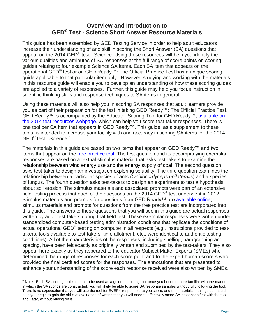## **Overview and Introduction to GED® Test - Science Short Answer Resource Materials**

This guide has been assembled by GED Testing Service in order to help adult educators increase their understanding of and skill in scoring the Short Answer (SA) questions that appear on the 2014 GED® test - Science. Using these resources will help you identify the various qualities and attributes of SA responses at the full range of score points on scoring guides relating to four example Science SA items. Each SA item that appears on the operational GED<sup>®</sup> test or on GED Ready™: The Official Practice Test has a unique scoring guide applicable to that particular item only. However, studying and working with the materials in this resource guide will enable you to develop an understanding of how these scoring guides are applied to a variety of responses. Further, this guide may help you focus instruction in scientific thinking skills and response techniques to SA items in general.

Using these materials will also help you in scoring SA responses that adult learners provide you as part of their preparation for the test in taking GED Ready™: The Official Practice Test. GED Ready™ is accompanied by the Educator Scoring Tool for GED Ready™, available on [the 2014 test](http://www.gedtestingservice.com/2014testresources) resources webpage, which can help you score test-taker responses. There is one tool per SA item that appears in GED Ready™. This guide, as a supplement to these tools, is intended to increase your facility with and accuracy in scoring SA items for the 2014 GED<sup>®</sup> test - Science.<sup>\*</sup>

The materials in this guide are based on two items that appear on GED Ready™ and two items that appear on the [free practice test.](http://www.gedtestingservice.com/educators/freepracticetest) The first question and its accompanying exemplar responses are based on a textual stimulus material that asks test-takers to examine the relationship between wind energy use and the energy supply of coal. The second question asks test-taker to design an investigation exploring solubility. The third question examines the relationship between a particular species of ants (*Ophiocordyceps unilateralis*) and a species of fungus. The fourth question asks test-takers to design an experiment to test a hypothesis about soil erosion. The stimulus materials and associated prompts were part of an extensive field-testing process that each of the questions on the 2014 GED<sup>®</sup> test underwent in 2012. Stimulus materials and prompts for questions from GED Ready™ are [available online;](http://www.gedtestingservice.com/stimulus-opt-in) stimulus materials and prompts for questions from the free practice test are incorporated into this guide. The answers to these questions that you will see in this guide are actual responses written by adult test-takers during that field test. These exemplar responses were written under standardized computer-based testing administration conditions that replicate the conditions of actual operational GED® testing on computer in all respects (e.g., instructions provided to testtakers, tools available to test-takers, time allotment, etc., were identical to authentic testing conditions). All of the characteristics of the responses, including spelling, paragraphing and spacing, have been left exactly as originally written and submitted by the test-takers. They also appear here exactly as they appeared to the educator Subject Matter Experts (SMEs) who determined the range of responses for each score point and to the expert human scorers who provided the final certified scores for the responses. The annotations that are presented to enhance your understanding of the score each response received were also written by SMEs.

 $\overline{a}$ 

<sup>\*</sup> Note: Each SA scoring tool is meant to be used as a guide to scoring, but once you become more familiar with the manner in which the SA rubrics are constructed, you will likely be able to score SA response samples without fully following the tool. There is no expectation that you will use the tool for EVERY response that you score, and the materials in this guide should help you begin to gain the skills at evaluation of writing that you will need to effectively score SA responses first with the tool and, later, without relying on it.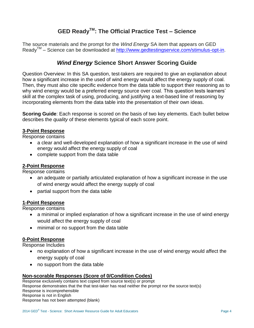# **GED ReadyTM: The Official Practice Test – Science**

The source materials and the prompt for the *Wind Energy* SA item that appears on GED Ready<sup>™</sup> – Science can be downloaded at [http://www.gedtestingservice.com/stimulus-opt-in.](http://www.gedtestingservice.com/stimulus-opt-in)

## *Wind Energy* **Science Short Answer Scoring Guide**

Question Overview: In this SA question, test-takers are required to give an explanation about how a significant increase in the used of wind energy would affect the energy supply of coal. Then, they must also cite specific evidence from the data table to support their reasoning as to why wind energy would be a preferred energy source over coal. This question tests learners' skill at the complex task of using, producing, and justifying a text-based line of reasoning by incorporating elements from the data table into the presentation of their own ideas.

**Scoring Guide**: Each response is scored on the basis of two key elements. Each bullet below describes the *quality* of these elements typical of each score point.

## **3-Point Response**

Response contains

- a clear and well-developed explanation of how a significant increase in the use of wind energy would affect the energy supply of coal
- complete support from the data table

### **2-Point Response**

Response contains

- an adequate or partially articulated explanation of how a significant increase in the use of wind energy would affect the energy supply of coal
- partial support from the data table

#### **1-Point Response**

Response contains

- a minimal or implied explanation of how a significant increase in the use of wind energy would affect the energy supply of coal
- minimal or no support from the data table

#### **0-Point Response**

Response Includes

- no explanation of how a significant increase in the use of wind energy would affect the energy supply of coal
- no support from the data table

#### **Non-scorable Responses (Score of 0/Condition Codes)**

Response exclusively contains text copied from source text(s) or prompt Response demonstrates that the that test-taker has read neither the prompt nor the source text(s) Response is incomprehensible Response is not in English Response has not been attempted (blank)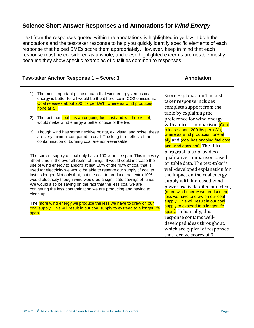# **Science Short Answer Responses and Annotations for** *Wind Energy*

Text from the responses quoted within the annotations is highlighted in yellow in both the annotations and the test-taker response to help you quickly identify specific elements of each response that helped SMEs score them appropriately. However, keep in mind that each response must be considered as a whole, and these highlighted excerpts are notable mostly because they show specific examples of qualities common to responses.

| Test-taker Anchor Response 1 - Score: 3                                                                                                                                                                                                                                                                                                                                                                                                                                                                                                                                                                                                                                                                                                                               | <b>Annotation</b>                                                                                                                                                                                                                                                                                                                                                                                                                                                                                                                             |
|-----------------------------------------------------------------------------------------------------------------------------------------------------------------------------------------------------------------------------------------------------------------------------------------------------------------------------------------------------------------------------------------------------------------------------------------------------------------------------------------------------------------------------------------------------------------------------------------------------------------------------------------------------------------------------------------------------------------------------------------------------------------------|-----------------------------------------------------------------------------------------------------------------------------------------------------------------------------------------------------------------------------------------------------------------------------------------------------------------------------------------------------------------------------------------------------------------------------------------------------------------------------------------------------------------------------------------------|
| 1)<br>The most important piece of data that wind energy versus coal<br>energy is better for all would be the difference in CO2 emissions.<br>Coal releases about 200 lbs per kWh, where as wind produces<br>none at all.                                                                                                                                                                                                                                                                                                                                                                                                                                                                                                                                              | Score Explanation: The test-<br>taker response includes<br>complete support from the<br>table by explaining the                                                                                                                                                                                                                                                                                                                                                                                                                               |
| The fact that coal has an ongoing fuel cost and wind does not,<br>2)<br>would make wind energy a better choice of the two.                                                                                                                                                                                                                                                                                                                                                                                                                                                                                                                                                                                                                                            | preference for wind energy,<br>with a direct comparison (Coal                                                                                                                                                                                                                                                                                                                                                                                                                                                                                 |
| Though wind has some negitive points, ex: visual and noise, these<br>3)<br>are very minimal compared to coal. The long term effect of the<br>contamination of burning coal are non-reversable.                                                                                                                                                                                                                                                                                                                                                                                                                                                                                                                                                                        | release about 200 lbs per kWh,<br>where as wind produces none at<br>all) and (coal has ongoing fuel cost<br>and wind does not). The third                                                                                                                                                                                                                                                                                                                                                                                                     |
| The current supply of coal only has a 100 year life span. This is a very<br>Short time in the over all realm of things. If would could increase the<br>use of wind energy to absorb at leat 10% of the 40% of coal that is<br>used for electricity we would be able to reserve our supply of coal to<br>last us longer. Not only that, but the cost to produce that extra 10%<br>would electricity though wind would be a significate savings of funds.<br>We would also be saving on the fact that the less coal we are<br>converting the less contamination we are producing and having to<br>clean up.<br>The more wind energy we produce the less we have to draw on our<br>coal supply. This will result in our coal supply to exstead to a longer life<br>span. | paragraph also provides a<br>qualitative comparison based<br>on table data. The test-taker's<br>well-developed explanation for<br>the impact on the coal energy<br>supply with increased wind<br>power use is detailed and clear,<br>(more wind energy we produce the<br>less we have to draw on our coal<br>supply. This will result in our coal<br>supply to exstead to a longer life<br>span). Holistically, this<br>response contains well-<br>developed ideas throughout,<br>which are typical of responses<br>that receive scores of 3. |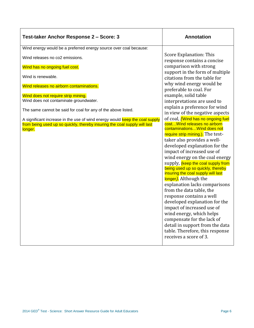| Test-taker Anchor Response 2 - Score: 3                                                                                                                             | <b>Annotation</b>                                                                                                                                                                                                                                                                                                                                                                                                         |
|---------------------------------------------------------------------------------------------------------------------------------------------------------------------|---------------------------------------------------------------------------------------------------------------------------------------------------------------------------------------------------------------------------------------------------------------------------------------------------------------------------------------------------------------------------------------------------------------------------|
| Wind energy would be a preferred energy source over coal because:                                                                                                   |                                                                                                                                                                                                                                                                                                                                                                                                                           |
| Wind releases no co2 emissions.                                                                                                                                     | Score Explanation: This<br>response contains a concise                                                                                                                                                                                                                                                                                                                                                                    |
| Wind has no ongoing fuel cost.                                                                                                                                      | comparison with strong                                                                                                                                                                                                                                                                                                                                                                                                    |
| Wind is renewable.                                                                                                                                                  | support in the form of multiple<br>citations from the table for                                                                                                                                                                                                                                                                                                                                                           |
| Wind releases no airborn contaminations.                                                                                                                            | why wind energy would be<br>preferable to coal. For                                                                                                                                                                                                                                                                                                                                                                       |
| Wind does not require strip mining.                                                                                                                                 | example, solid table                                                                                                                                                                                                                                                                                                                                                                                                      |
| Wind does not contaminate groundwater.                                                                                                                              | interpretations are used to                                                                                                                                                                                                                                                                                                                                                                                               |
| The same cannot be said for coal for any of the above listed.                                                                                                       | explain a preference for wind<br>in view of the negative aspects                                                                                                                                                                                                                                                                                                                                                          |
| A significant increase in the use of wind energy would keep the coal supply<br>from being used up so quickly, thereby insuring the coal supply will last<br>longer. | of coal, <i>(Wind has no ongoing fuel</i><br>cost Wind releases no airborn<br>contaminations Wind does not<br>require strip mining.). The test-<br>taker also provides a well-<br>developed explanation for the<br>impact of increased use of<br>wind energy on the coal energy<br>supply, (keep the coal supply from<br>being used up so quickly, thereby<br>insuring the coal supply will last<br>longer). Although the |
|                                                                                                                                                                     | explanation lacks comparisons<br>from the data table, the<br>response contains a well<br>developed explanation for the<br>impact of increased use of<br>wind energy, which helps<br>compensate for the lack of<br>detail in support from the data<br>table. Therefore, this response<br>receives a score of 3.                                                                                                            |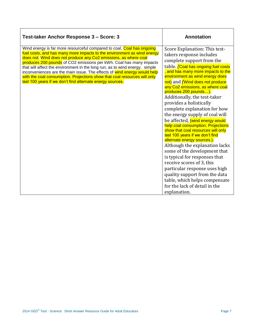| Test-taker Anchor Response 3 - Score: 3                                                                                                                                                                                                                                                                                                                                                                                                                                                                                                                                                           | <b>Annotation</b>                                                                                                                                                                                                                                                                                                                                                                                                                                                                                                                                                                                                                                                                                                                                                                                                                                                                                              |
|---------------------------------------------------------------------------------------------------------------------------------------------------------------------------------------------------------------------------------------------------------------------------------------------------------------------------------------------------------------------------------------------------------------------------------------------------------------------------------------------------------------------------------------------------------------------------------------------------|----------------------------------------------------------------------------------------------------------------------------------------------------------------------------------------------------------------------------------------------------------------------------------------------------------------------------------------------------------------------------------------------------------------------------------------------------------------------------------------------------------------------------------------------------------------------------------------------------------------------------------------------------------------------------------------------------------------------------------------------------------------------------------------------------------------------------------------------------------------------------------------------------------------|
| Wind energy is far more resourceful compared to coal. Coal has ongoing<br>fuel costs, and has many more impacts to the environment as wind energy<br>does not. Wind does not produce any Co2 emissions, as where coal<br>produces 200 pounds of CO2 emissions per kWh. Coal has many impacts<br>that will affect the environment in the long run, as to wind energy. simple<br>inconveniences are the main issue. The effects of wind energy would help<br>with the coal consumption. Projections show that coal resources will only<br>last 100 years if we don't find alternate energy sources. | Score Explanation: This test-<br>takers response includes<br>complete support from the<br>table. Coal has ongoing fuel costs<br>, and has many more impacts to the<br>environment as wind energy does<br>not) and <i>[Wind does not produce</i><br>any Co2 emissions, as where coal<br>produces 200 pounds).<br>Additionally, the test-taker<br>provides a holistically<br>complete explanation for how<br>the energy supply of coal will<br>be affected, (wind energy would<br>help coal consumption. Projections<br>show that coal resources will only<br>last 100 years if we don't find<br>alternate energy sources.).<br>Although the explanation lacks<br>some of the development that<br>is typical for responses that<br>receive scores of 3, this<br>particular response uses high<br>quality support from the data<br>table, which helps compensate<br>for the lack of detail in the<br>explanation. |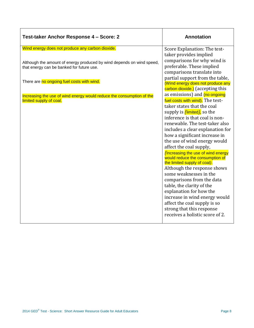| Test-taker Anchor Response 4 - Score: 2                                                                            | <b>Annotation</b>                                                                                      |
|--------------------------------------------------------------------------------------------------------------------|--------------------------------------------------------------------------------------------------------|
| Wind energy does not produce any carbon dioxide.                                                                   | Score Explanation: The test-<br>taker provides implied<br>comparisons for why wind is                  |
| Although the amount of energy produced by wind depends on wind speed,<br>that energy can be banked for future use. | preferable. These implied<br>comparisons translate into<br>partial support from the table,             |
| There are no ongoing fuel costs with wind.                                                                         | (Wind energy does not produce any<br>carbon dioxide.) (accepting this                                  |
| Increasing the use of wind energy would reduce the consumption of the<br>limited supply of coal.                   | as emissions) and (no ongoing<br>fuel costs with wind). The test-<br>taker states that the coal        |
|                                                                                                                    | supply is (limited), so the<br>inference is that coal is non-<br>renewable. The test-taker also        |
|                                                                                                                    | includes a clear explanation for<br>how a significant increase in<br>the use of wind energy would      |
|                                                                                                                    | affect the coal supply,<br><b>Increasing the use of wind energy</b><br>would reduce the consumption of |
|                                                                                                                    | the limited supply of coal).<br>Although the response shows<br>some weaknesses in the                  |
|                                                                                                                    | comparisons from the data<br>table, the clarity of the                                                 |
|                                                                                                                    | explanation for how the<br>increase in wind energy would<br>affect the coal supply is so               |
|                                                                                                                    | strong that this response<br>receives a holistic score of 2.                                           |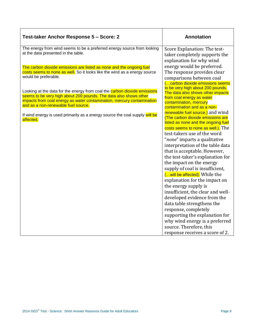| Test-taker Anchor Response 5 - Score: 2                                                                                                                                                                                                                                | <b>Annotation</b>                                                                                                                                                                                                                                                                                                                                                                        |
|------------------------------------------------------------------------------------------------------------------------------------------------------------------------------------------------------------------------------------------------------------------------|------------------------------------------------------------------------------------------------------------------------------------------------------------------------------------------------------------------------------------------------------------------------------------------------------------------------------------------------------------------------------------------|
| The energy from wind seems to be a preferred energy source from looking<br>at the data presented in the table.                                                                                                                                                         | Score Explanation: The test-<br>taker completely supports the<br>explanation for why wind                                                                                                                                                                                                                                                                                                |
| The carbon dioxide emissions are listed as none and the ongoing fuel<br>costs seems to none as well. So it looks like the wind as a energy source<br>would be preferable.                                                                                              | energy would be preferred.<br>The response provides clear<br>comparisons between coal<br>(carbon dioxide emissions seems                                                                                                                                                                                                                                                                 |
| Looking at the data for the energy from coal the <b>carbon dioxide emissions</b><br>seems to be very high about 200 pounds. The data also shows other<br>impacts from coal energy as water contamination, mercury contamination<br>and as a non-renewable fuel source. | to be very high about 200 pounds.<br>The data also shows other impacts<br>from coal energy as water<br>contamination, mercury<br>contamination and as a non-                                                                                                                                                                                                                             |
| If wind energy is used primarily as a energy source the coal supply will be<br>affected.                                                                                                                                                                               | renewable fuel source.) and wind<br>(The carbon dioxide emissions are<br>listed as none and the ongoing fuel<br>costs seems to none as well.). The<br>test-takers use of the word<br>"none" imparts a qualitative<br>interpretation of the table data<br>that is acceptable. However,<br>the test-taker's explanation for<br>the impact on the energy<br>supply of coal is insufficient, |
|                                                                                                                                                                                                                                                                        | ( will be affected). While the<br>explanation for the impact on<br>the energy supply is<br>insufficient, the clear and well-<br>developed evidence from the<br>data table strengthens the<br>response, completely<br>supporting the explanation for<br>why wind energy is a preferred<br>source. Therefore, this<br>response receives a score of 2.                                      |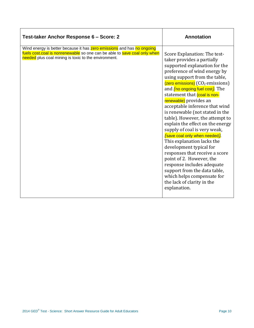| Test-taker Anchor Response 6 - Score: 2                                                                                                                                                                            | <b>Annotation</b>                                                                                                                                                                                                                                                                                                                                                                                                                                                                                                                                                                                                                                                                                                                                                                                     |
|--------------------------------------------------------------------------------------------------------------------------------------------------------------------------------------------------------------------|-------------------------------------------------------------------------------------------------------------------------------------------------------------------------------------------------------------------------------------------------------------------------------------------------------------------------------------------------------------------------------------------------------------------------------------------------------------------------------------------------------------------------------------------------------------------------------------------------------------------------------------------------------------------------------------------------------------------------------------------------------------------------------------------------------|
| Wind energy is better because it has <b>zero emissions</b> and has no ongoing<br>fuels cost.coal is nonrenewable so one can be able to save coal only when<br>needed plus coal mining is toxic to the environment. | Score Explanation: The test-<br>taker provides a partially<br>supported explanation for the<br>preference of wind energy by<br>using support from the table,<br>$($ zero emissions $)$ (CO <sub>2</sub> emissions)<br>and <i>(no ongoing fuel cost)</i> . The<br>statement that (coal is non-<br>renewable) provides an<br>acceptable inference that wind<br>is renewable (not stated in the<br>table). However, the attempt to<br>explain the effect on the energy<br>supply of coal is very weak,<br>(save coal only when needed).<br>This explanation lacks the<br>development typical for<br>responses that receive a score<br>point of 2. However, the<br>response includes adequate<br>support from the data table,<br>which helps compensate for<br>the lack of clarity in the<br>explanation. |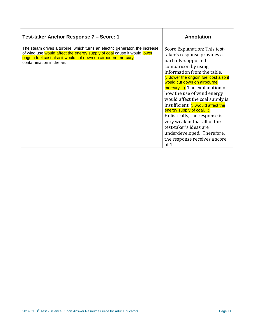| Test-taker Anchor Response 7 - Score: 1                                                                                                                                                                                                             | <b>Annotation</b>                                                                                                                                                                                                                                                                                                                                                                                                                                                                                                                                   |
|-----------------------------------------------------------------------------------------------------------------------------------------------------------------------------------------------------------------------------------------------------|-----------------------------------------------------------------------------------------------------------------------------------------------------------------------------------------------------------------------------------------------------------------------------------------------------------------------------------------------------------------------------------------------------------------------------------------------------------------------------------------------------------------------------------------------------|
| The steam drives a turbine, which turns an electric generator. the increase<br>of wind use would affect the energy supply of coal cause it would lower<br>ongoin fuel cost also it would cut down on airbourne mercury<br>contamination in the air. | Score Explanation: This test-<br>taker's response provides a<br>partially-supported<br>comparison by using<br>information from the table,<br>( lower the ongoin fuel cost also it<br>would cut down on airbourne<br>mercury). The explanation of<br>how the use of wind energy<br>would affect the coal supply is<br>insufficient, ( would affect the<br>energy supply of coal).<br>Holistically, the response is<br>very weak in that all of the<br>test-taker's ideas are<br>underdeveloped. Therefore,<br>the response receives a score<br>of 1. |

 $\overline{\phantom{a}}$ 

 $\mathsf{r}$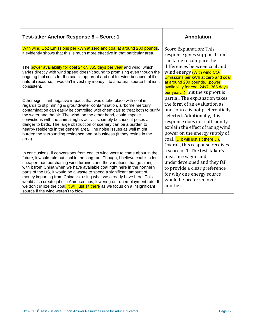| Test-taker Anchor Response 8 - Score: 1                                                                                                                                                                                                                                                                                                                                                                                                                                                                                                                                                                                                                                        | <b>Annotation</b>                                                                                                                                                                                                                                                                                                |
|--------------------------------------------------------------------------------------------------------------------------------------------------------------------------------------------------------------------------------------------------------------------------------------------------------------------------------------------------------------------------------------------------------------------------------------------------------------------------------------------------------------------------------------------------------------------------------------------------------------------------------------------------------------------------------|------------------------------------------------------------------------------------------------------------------------------------------------------------------------------------------------------------------------------------------------------------------------------------------------------------------|
| With wind Co2 Emissions per kWh at zero and coal at around 200 pounds.<br>it evidently shows that this is much more effective in that particular area.                                                                                                                                                                                                                                                                                                                                                                                                                                                                                                                         | Score Explanation: This<br>response gives support from<br>the table to compare the                                                                                                                                                                                                                               |
| The power availability for coal 24x7, 365 days per year and wind, which<br>varies directly with wind speed doesn't sound to promising even though the<br>ongoing fuel costs for the coal is apparent and not for wind because of it's<br>natural recourse, I wouldn't invest my money into a natural source that isn't<br>consistent.                                                                                                                                                                                                                                                                                                                                          | differences between coal and<br>wind energy (With wind CO <sub>2</sub><br>Emissions per kWh at zero and coal<br>at around 200 poundspower<br>availability for coal 24x7, 365 days<br>per year), but the support is                                                                                               |
| Other significant negative impacts that would take place with coal in<br>regards to stip mining & groundwater contamination, airborne mercury<br>contamination can easily be controlled with chemicals to treat both to purify<br>the water and the air. The wind, on the other hand, could impose<br>convictions with the animal rights activists, simply because it poses a<br>danger to birds. The large obstruction of scenery can be a burden to<br>nearby residents in the general area. The noise issues as well might<br>burden the surrounding residence and or business (if they reside in the<br>area)                                                              | partial. The explanation takes<br>the form of an evaluation as<br>one source is not preferentially<br>selected. Additionally, this<br>response does not sufficiently<br>explain the effect of using wind<br>power on the energy supply of<br>coal, ( it will just sit there).<br>Overall, this response receives |
| In conclusions, if conversions from coal to wind were to come about in the<br>future, it would rule out coal in the long run. Though, I believe coal is a lot<br>cheaper than purchasing wind turbines and the variations that go along<br>with it from China when we have available coal right here in the northern<br>parts of the US, it would be a waste to spend a significant amount of<br>money importing from China vs. using what we already have here. This<br>would also create jobs in America thus, lowering our unemployment rate. If<br>we don't utilize the coal, it will just sit there as we focus on a insignificant<br>source if the wind weren't to blow. | a score of 1. The test-taker's<br>ideas are vague and<br>underdeveloped and they fail<br>to provide a clear preference<br>for why one energy source<br>would be preferred over<br>another.                                                                                                                       |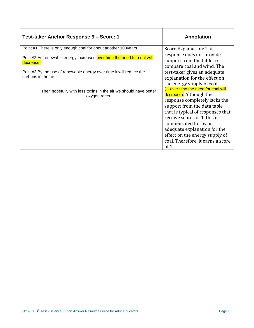| Test-taker Anchor Response 9 - Score: 1                                             | <b>Annotation</b>                                                                    |
|-------------------------------------------------------------------------------------|--------------------------------------------------------------------------------------|
| Point #1 There is only enough coal for about another 100years.                      | Score Explanation: This                                                              |
| Point#2 As renewable energy increases over time the need for coal will<br>decrease. | response does not provide<br>support from the table to<br>compare coal and wind. The |
| Point#3 By the use of renewable energy over time it will reduce the                 | test-taker gives an adequate                                                         |
| carbons in the air.                                                                 | explanation for the effect on                                                        |
|                                                                                     | the energy supply of coal,<br>(over time the need for coal will                      |
| Then hopefully with less toxins in the air we should have better                    | decrease). Although the                                                              |
| oxygen rates.                                                                       | response completely lacks the                                                        |
|                                                                                     | support from the data table                                                          |
|                                                                                     | that is typical of responses that                                                    |
|                                                                                     | receive scores of 1, this is                                                         |
|                                                                                     | compensated for by an<br>adequate explanation for the                                |
|                                                                                     | effect on the energy supply of                                                       |
|                                                                                     | coal. Therefore, it earns a score                                                    |
|                                                                                     | of $1$ .                                                                             |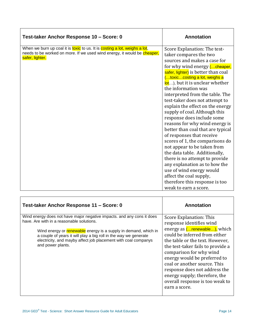| Test-taker Anchor Response 10 - Score: 0                                                                                                                                  | <b>Annotation</b>                                                                                                                                                                                                                                                                                                                                                                                                                                                                                                                                                                                                                                                                                                                                                                                     |
|---------------------------------------------------------------------------------------------------------------------------------------------------------------------------|-------------------------------------------------------------------------------------------------------------------------------------------------------------------------------------------------------------------------------------------------------------------------------------------------------------------------------------------------------------------------------------------------------------------------------------------------------------------------------------------------------------------------------------------------------------------------------------------------------------------------------------------------------------------------------------------------------------------------------------------------------------------------------------------------------|
| When we burn up coal it is toxic to us. It is costing a lot, weighs a lot,<br>needs to be worked on more. If we used wind energy, it would be cheaper,<br>safer, lighter. | Score Explanation: The test-<br>taker compares the two<br>sources and makes a case for<br>for why wind energy ( cheaper,<br>safer, lighter) is better than coal<br>(toxiccosting a lot, weighs a<br>lot), but it is unclear whether<br>the information was<br>interpreted from the table. The<br>test-taker does not attempt to<br>explain the effect on the energy<br>supply of coal. Although this<br>response does include some<br>reasons for why wind energy is<br>better than coal that are typical<br>of responses that receive<br>scores of 1, the comparisons do<br>not appear to be taken from<br>the data table. Additionally,<br>there is no attempt to provide<br>any explanation as to how the<br>use of wind energy would<br>affect the coal supply,<br>therefore this response is too |
|                                                                                                                                                                           | weak to earn a score.                                                                                                                                                                                                                                                                                                                                                                                                                                                                                                                                                                                                                                                                                                                                                                                 |

| Test-taker Anchor Response 11 – Score: 0                                                                                                                                                                                   | Annotation                                                                                                                                                                                                                                                                                                                                              |
|----------------------------------------------------------------------------------------------------------------------------------------------------------------------------------------------------------------------------|---------------------------------------------------------------------------------------------------------------------------------------------------------------------------------------------------------------------------------------------------------------------------------------------------------------------------------------------------------|
| Wind energy does not have major negative impacts, and any cons it does<br>have. Are with in a reasonable solutions.                                                                                                        | Score Explanation: This<br>response identifies wind                                                                                                                                                                                                                                                                                                     |
| Wind energy or renewable energy is a supply in demand, which in<br>a couple of years it will play a big roll in the way we generate<br>electricity, and mayby affect job placement with coal companys<br>and power plants. | energy as ( renewable), which<br>could be inferred from either<br>the table or the text. However,<br>the test-taker fails to provide a<br>comparison for why wind<br>energy would be preferred to<br>coal or another source. This<br>response does not address the<br>energy supply; therefore, the<br>overall response is too weak to<br>earn a score. |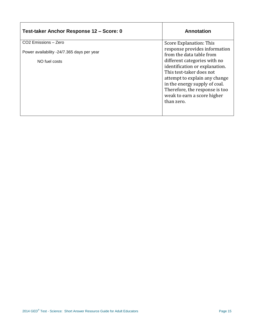| Test-taker Anchor Response 12 - Score: 0   | Annotation                                                                                                                                                                                                                                  |
|--------------------------------------------|---------------------------------------------------------------------------------------------------------------------------------------------------------------------------------------------------------------------------------------------|
| CO <sub>2</sub> Emissions - Zero           | Score Explanation: This                                                                                                                                                                                                                     |
| Power availability -24/7.365 days per year | response provides information<br>from the data table from                                                                                                                                                                                   |
| NO fuel costs                              | different categories with no<br>identification or explanation.<br>This test-taker does not<br>attempt to explain any change<br>in the energy supply of coal.<br>Therefore, the response is too<br>weak to earn a score higher<br>than zero. |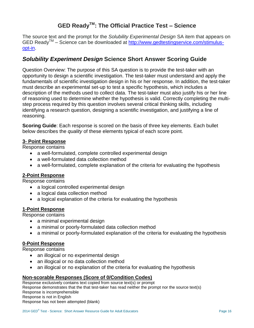# **GED ReadyTM: The Official Practice Test – Science**

The source text and the prompt for the *Solubility Experimental Design* SA item that appears on GED Ready<sup>™</sup> – Science can be downloaded at [http://www.gedtestingservice.com/stimulus](http://www.gedtestingservice.com/stimulus-opt-in)[opt-in.](http://www.gedtestingservice.com/stimulus-opt-in)

## *Solubility Experiment Design* **Science Short Answer Scoring Guide**

Question Overview: The purpose of this SA question is to provide the test-taker with an opportunity to design a scientific investigation. The test-taker must understand and apply the fundamentals of scientific investigation design in his or her response. In addition, the test-taker must describe an experimental set-up to test a specific hypothesis, which includes a description of the methods used to collect data. The test-taker must also justify his or her line of reasoning used to determine whether the hypothesis is valid. Correctly completing the multistep process required by this question involves several critical thinking skills, including identifying a research question, designing a scientific investigation, and justifying a line of reasoning.

**Scoring Guide**: Each response is scored on the basis of three key elements. Each bullet below describes the *quality* of these elements typical of each score point.

#### **3- Point Response**

Response contains

- a well-formulated, complete controlled experimental design
- a well-formulated data collection method
- a well-formulated, complete explanation of the criteria for evaluating the hypothesis

#### **2-Point Response**

Response contains

- a logical controlled experimental design
- a logical data collection method
- a logical explanation of the criteria for evaluating the hypothesis

#### **1-Point Response**

Response contains

- a minimal experimental design
- a minimal or poorly-formulated data collection method
- a minimal or poorly-formulated explanation of the criteria for evaluating the hypothesis

#### **0-Point Response**

Response contains

- an illogical or no experimental design
- an illogical or no data collection method
- an illogical or no explanation of the criteria for evaluating the hypothesis

#### **Non-scorable Responses (Score of 0/Condition Codes)**

Response exclusively contains text copied from source text(s) or prompt Response demonstrates that the that test-taker has read neither the prompt nor the source text(s) Response is incomprehensible Response is not in English Response has not been attempted (blank)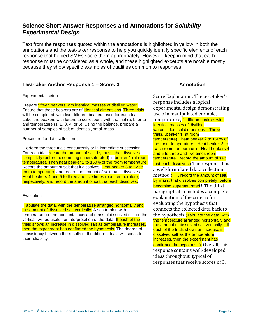## **Science Short Answer Responses and Annotations for** *Solubility Experimental Design*

Text from the responses quoted within the annotations is highlighted in yellow in both the annotations and the test-taker response to help you quickly identify specific elements of each response that helped SMEs score them appropriately. However, keep in mind that each response must be considered as a whole, and these highlighted excerpts are notable mostly because they show specific examples of qualities common to responses.

| Test-taker Anchor Response 1 - Score: 3                                                                                                                                                                                                                                                                                                                                                                                                                                                                                                                             | <b>Annotation</b>                                                                                                                                                                                                                                                                                                                                                                                                                                        |
|---------------------------------------------------------------------------------------------------------------------------------------------------------------------------------------------------------------------------------------------------------------------------------------------------------------------------------------------------------------------------------------------------------------------------------------------------------------------------------------------------------------------------------------------------------------------|----------------------------------------------------------------------------------------------------------------------------------------------------------------------------------------------------------------------------------------------------------------------------------------------------------------------------------------------------------------------------------------------------------------------------------------------------------|
| Experimental setup:<br>Prepare fifteen beakers with identical masses of distilled water.<br>Ensure that these beakers are of identical dimensions. Three trials<br>will be completed, with five different beakers used for each trial.<br>Label the beakers with letters to correspond with the trial (a, b, or c)<br>and temperature (1, 2, 3, 4, or 5). Using the balance, prepare a<br>number of samples of salt of identical, small mass.                                                                                                                       | Score Explanation: The test-taker's<br>response includes a logical<br>experimental design demonstrating<br>use of a manipulated variable,<br>temperature, ( fifteen beakers with<br><b>identical masses of distilled</b><br>wateridentical dimensionsThree<br>trialsbeaker 1 (at room                                                                                                                                                                    |
| Procedure for data collection:                                                                                                                                                                                                                                                                                                                                                                                                                                                                                                                                      | temperature)heat beaker 2 to 150% of<br>the room temperatureHeat beaker 3 to                                                                                                                                                                                                                                                                                                                                                                             |
| Perform the three trials concurrently or in immediate succession.<br>For each trial, record the amount of salt, by mass, that dissolves<br>completely (before becomming supersaturated) in beaker 1 (at room<br>temperature). Then heat beaker 2 to 150% of the room temperature.<br>Record the amount of salt that it dissolves. Heat beaker 3 to twice<br>room temperature and record the amount of salt that it dissolves.<br>Heat beakers 4 and 5 to three and five times room temperature,<br>respectively, and record the amount of salt that each dissolves. | twice room temperature Heat beakers 4<br>and 5 to three and five times room<br>temperature record the amount of salt<br>that each dissolves.) The response has<br>a well-formulated data collection<br>method $\left(\ldots\right)$ record the amount of salt,<br>by mass, that dissolves completely [before<br>becoming supersaturated). The third<br>paragraph also includes a complete                                                                |
| Evaluation:                                                                                                                                                                                                                                                                                                                                                                                                                                                                                                                                                         | explanation of the criteria for<br>evaluating the hypothesis that                                                                                                                                                                                                                                                                                                                                                                                        |
| Tabulate the data, with the temperature arranged horizontally and<br>the amount of dissolved salt vertically. A scatterplot, with<br>temperature on the horizontal axis and mass of dissolved salt on the<br>vertical, will be useful for interpretation of the data. If each of the<br>trials shows an increase in dissolved salt as temperature increases,<br>then the experiment has confirmed the hypothesis. The degree of<br>consistency between the results of the different trials will speak to<br>their reliability.                                      | connects the collected data back to<br>the hypothesis (Tabulate the data, with<br>the temperature arranged horizontally and<br>the amount of dissolved salt vertically.  If<br>each of the trials shows an increase in<br>dissolved salt as the temperature<br>increases, then the experiment has<br>confirmed the hypothesis). Overall, this<br>response contains well-developed<br>ideas throughout, typical of<br>responses that receive scores of 3. |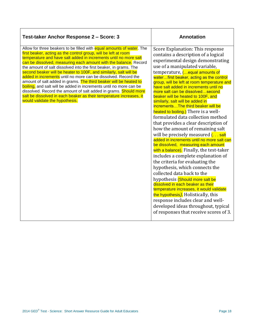| Test-taker Anchor Response 2 - Score: 3                                                                                                                                                                                                                                                                                                                                                                                                                                                                                                                                                                                                                                                                                                                                                                              | <b>Annotation</b>                                                                                                                                                                                                                                                                                                                                                                                                                                                                                                                                                                                                                                                                                                                                                                                                                                                                                                                                                                                                                                                                                                                                                                                                                   |
|----------------------------------------------------------------------------------------------------------------------------------------------------------------------------------------------------------------------------------------------------------------------------------------------------------------------------------------------------------------------------------------------------------------------------------------------------------------------------------------------------------------------------------------------------------------------------------------------------------------------------------------------------------------------------------------------------------------------------------------------------------------------------------------------------------------------|-------------------------------------------------------------------------------------------------------------------------------------------------------------------------------------------------------------------------------------------------------------------------------------------------------------------------------------------------------------------------------------------------------------------------------------------------------------------------------------------------------------------------------------------------------------------------------------------------------------------------------------------------------------------------------------------------------------------------------------------------------------------------------------------------------------------------------------------------------------------------------------------------------------------------------------------------------------------------------------------------------------------------------------------------------------------------------------------------------------------------------------------------------------------------------------------------------------------------------------|
| Allow for three beakers to be filled with equal amounts of water. The<br>first beaker, acting as the control group, will be left at room<br>temperature and have salt added in increments until no more salt<br>can be dissolved, measuring each amount with the balance. Record<br>the amount of salt dissolved into the first beaker, in grams. The<br>second beaker will be heater to 100F, and similarly, salt will be<br>added in increments until no more can be dissolved. Record the<br>amount of salt added in grams. The third beaker will be heated to<br>boiling, and salt will be added in increments until no more can be<br>dissolved. Record the amount of salt added in grams. Should more<br>salt be dissolved in each beaker as their temperature increases, it<br>would validate the hypothesis. | Score Explanation: This response<br>contains a description of a logical<br>experimental design demonstrating<br>use of a manipulated variable,<br>temperature, ( equal amounts of<br>waterfirst beaker, acting as the control<br>group, will be left at room temperature and<br>have salt added in increments until no<br>more salt can be dissolvedsecond<br>beaker will be heated to 100F, and<br>similarly, salt will be added in<br>incrementsThe third beaker will be<br>heated to boiling.) There is a well-<br>formulated data collection method<br>that provides a clear description of<br>how the amount of remaining salt<br>will be precisely measured ( salt<br>added in increments until no more salt can<br>be dissolved, measuring each amount<br>with a balance). Finally, the test-taker<br>includes a complete explanation of<br>the criteria for evaluating the<br>hypothesis, which connects the<br>collected data back to the<br>hypothesis (Should more salt be<br>dissolved in each beaker as their<br>temperature increases, it would validate<br>the hypothesis). Holistically, this<br>response includes clear and well-<br>developed ideas throughout, typical<br>of responses that receive scores of 3. |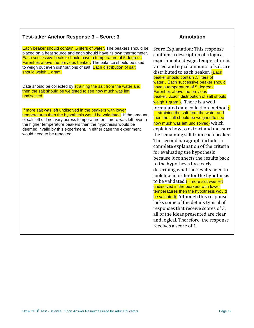| Test-taker Anchor Response 3 - Score: 3                                                                                                                                                                                                                                                                                                                                                                                                                                                                                                                                                                                                                                                                                                                                                                                                                                                                              | <b>Annotation</b>                                                                                                                                                                                                                                                                                                                                                                                                                                                                                                                                                                                                                                                                                                                                                                                                                                                                                                                                                                                                                                                                                                                                                                                                                                                                                                  |
|----------------------------------------------------------------------------------------------------------------------------------------------------------------------------------------------------------------------------------------------------------------------------------------------------------------------------------------------------------------------------------------------------------------------------------------------------------------------------------------------------------------------------------------------------------------------------------------------------------------------------------------------------------------------------------------------------------------------------------------------------------------------------------------------------------------------------------------------------------------------------------------------------------------------|--------------------------------------------------------------------------------------------------------------------------------------------------------------------------------------------------------------------------------------------------------------------------------------------------------------------------------------------------------------------------------------------------------------------------------------------------------------------------------------------------------------------------------------------------------------------------------------------------------------------------------------------------------------------------------------------------------------------------------------------------------------------------------------------------------------------------------------------------------------------------------------------------------------------------------------------------------------------------------------------------------------------------------------------------------------------------------------------------------------------------------------------------------------------------------------------------------------------------------------------------------------------------------------------------------------------|
| Each beaker should contain .5 liters of water. The beakers should be<br>placed on a heat source and each should have its own thermometer.<br>Each successive beaker should have a temperature of 5 degrees<br><b>Farenheit above the previous beaker.</b> The balance should be used<br>to weigh out even distributions of salt. Each distribution of salt<br>should weigh 1 gram.<br>Data should be collected by straining the salt from the water and<br>then the salt should be weighted to see how much was left<br>undisolved.<br>If more salt was left undisolved in the beakers with lower<br>temperatures then the hypothesis would be valadated. If the amount<br>of salt left did not vary across temperature or if more was left over in<br>the higher temperature beakers then the hypothesis would be<br>deemed invalid by this experiment. In either case the experiment<br>would need to be repeated. | Score Explanation: This response<br>contains a description of a logical<br>experimental design, temperature is<br>varied and equal amounts of salt are<br>distributed to each beaker, (Each<br>beaker should contain .5 liters of<br>waterEach successive beaker should<br>have a temperature of 5 degrees<br><b>Farenheit above the previous</b><br>beaker Each distribution of salt should<br>weigh 1 gram.). There is a well-<br>formulated data collection method (.<br>straining the salt from the water and<br>then the salt should be weighed to see<br>how much was left undisolved) which<br>explains how to extract and measure<br>the remaining salt from each beaker.<br>The second paragraph includes a<br>complete explanation of the criteria<br>for evaluating the hypothesis<br>because it connects the results back<br>to the hypothesis by clearly<br>describing what the results need to<br>look like in order for the hypothesis<br>to be validated (If more salt was left<br>undisolved in the beakers with lower<br>temperatures then the hypothesis would<br>be valdated). Although this response<br>lacks some of the details typical of<br>responses that receive scores of 3,<br>all of the ideas presented are clear<br>and logical. Therefore, the response<br>receives a score of 1. |
|                                                                                                                                                                                                                                                                                                                                                                                                                                                                                                                                                                                                                                                                                                                                                                                                                                                                                                                      |                                                                                                                                                                                                                                                                                                                                                                                                                                                                                                                                                                                                                                                                                                                                                                                                                                                                                                                                                                                                                                                                                                                                                                                                                                                                                                                    |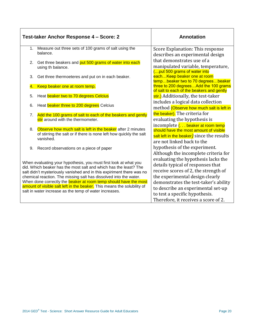|    | Test-taker Anchor Response 4 - Score: 2                                                                                                                                                                                                                                                                                                                                                                                                                                                            | <b>Annotation</b>                                                                                                                                                                                                                                                                                            |
|----|----------------------------------------------------------------------------------------------------------------------------------------------------------------------------------------------------------------------------------------------------------------------------------------------------------------------------------------------------------------------------------------------------------------------------------------------------------------------------------------------------|--------------------------------------------------------------------------------------------------------------------------------------------------------------------------------------------------------------------------------------------------------------------------------------------------------------|
| 1. | Measure out three sets of 100 grams of salt using the<br>balance.                                                                                                                                                                                                                                                                                                                                                                                                                                  | Score Explanation: This response<br>describes an experimental design                                                                                                                                                                                                                                         |
| 2. | Get three beakers and put 500 grams of water into each<br>using th balance.                                                                                                                                                                                                                                                                                                                                                                                                                        | that demonstrates use of a<br>manipulated variable, temperature,<br>( put 500 grams of water into                                                                                                                                                                                                            |
| 3. | Get three thermoeteres and put on in each beaker.                                                                                                                                                                                                                                                                                                                                                                                                                                                  | each Keep beaker one at room<br>tempbeaker two to 70 degreesbeaker                                                                                                                                                                                                                                           |
| 4. | Keep beaker one at room temp.                                                                                                                                                                                                                                                                                                                                                                                                                                                                      | three to 200 degreesAdd the 100 grams<br>of salt to each of the beakers and gently                                                                                                                                                                                                                           |
| 5. | Heat beaker two to 70 degrees Celcius                                                                                                                                                                                                                                                                                                                                                                                                                                                              | stir.) Additionally, the test-taker<br>includes a logical data collection                                                                                                                                                                                                                                    |
| 6. | Heat beaker three to 200 degrees Celcius                                                                                                                                                                                                                                                                                                                                                                                                                                                           | method (Observe how much salt is left in                                                                                                                                                                                                                                                                     |
| 7. | Add the 100 grams of salt to each of the beakers and gently<br>stir around with the thermometer.                                                                                                                                                                                                                                                                                                                                                                                                   | the beaker). The criteria for<br>evaluating the hypothesis is                                                                                                                                                                                                                                                |
| 8. | Observe how much salt is left in the beaker after 2 minutes<br>of stirring the salt or if there is none left how quickly the salt<br>vanished.                                                                                                                                                                                                                                                                                                                                                     | incomplete ( beaker at room temp<br>should have the most amount of visible<br>salt left in the beaker) since the results<br>are not linked back to the                                                                                                                                                       |
| 9. | Record observations on a piece of paper                                                                                                                                                                                                                                                                                                                                                                                                                                                            | hypothesis of the experiment.<br>Although the incomplete criteria for                                                                                                                                                                                                                                        |
|    | When evaluating your hypothesis, you must first look at what you<br>did. Which beaker has the most salt and which has the least? The<br>salt didn't mysteriously vanished and in this expiriment there was no<br>chemical reaction. The missing salt has dissolved into the water.<br>When done correctly the <b>beaker at room temp should have the most</b><br>amount of visible salt left in the beaker. This means the solubility of<br>salt in water increase as the temp of water increases. | evaluating the hypothesis lacks the<br>details typical of responses that<br>receive scores of 2, the strength of<br>the experimental design clearly<br>demonstrates the test-taker's ability<br>to describe an experimental set-up<br>to test a specific hypothesis.<br>Therefore, it receives a score of 2. |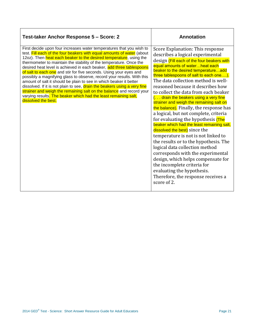| Test-taker Anchor Response 5 - Score: 2                                                                                                                                                                                                                                                                                                                                                                                                                                                                                                                                                                                                                                                                                                                                                                                                 | <b>Annotation</b>                                                                                                                                                                                                                                                                                                                                                                                                                                                                                                                                                                                                                                                                                                                                                                                                                                                                                                                                                                   |
|-----------------------------------------------------------------------------------------------------------------------------------------------------------------------------------------------------------------------------------------------------------------------------------------------------------------------------------------------------------------------------------------------------------------------------------------------------------------------------------------------------------------------------------------------------------------------------------------------------------------------------------------------------------------------------------------------------------------------------------------------------------------------------------------------------------------------------------------|-------------------------------------------------------------------------------------------------------------------------------------------------------------------------------------------------------------------------------------------------------------------------------------------------------------------------------------------------------------------------------------------------------------------------------------------------------------------------------------------------------------------------------------------------------------------------------------------------------------------------------------------------------------------------------------------------------------------------------------------------------------------------------------------------------------------------------------------------------------------------------------------------------------------------------------------------------------------------------------|
| First decide upon four increases water temperatures that you wish to<br>test. Fill each of the four beakers with equal amounts of water (about<br>12oz). Then heat each beaker to the desired temperature, using the<br>thermometer to maintain the stability of the temperature. Once the<br>desired heat level is achieved in each beaker, add three tablespoons<br>of salt to each one and stir for five seconds. Using your eyes and<br>possibly a magnifying glass to observe, record your results. With this<br>amount of salt it should be plain to see in which beaker it better<br>dissolved. If it is not plain to see, drain the beakers using a very fine<br>strainer and weigh the remaining salt on the balance and record your<br>varying results. The beaker which had the least remaining salt,<br>dissolved the best. | Score Explanation: This response<br>describes a logical experimental<br>design (Fill each of the four beakers with<br>equal amounts of waterheat each<br>beaker to the desired temperatureadd<br>three tablespoons of salt to each one).<br>The data collection method is well-<br>reasoned because it describes how<br>to collect the data from each beaker<br>$( \ldots)$ drain the beakers using a very fine<br>strainer and weigh the remaining salt on<br>the balance). Finally, the response has<br>a logical, but not complete, criteria<br>for evaluating the hypothesis (The<br>beaker which had the least remaining salt,<br>dissolved the best) since the<br>temperature is not is not linked to<br>the results or to the hypothesis. The<br>logical data collection method<br>corresponds with the experimental<br>design, which helps compensate for<br>the incomplete criteria for<br>evaluating the hypothesis.<br>Therefore, the response receives a<br>score of 2. |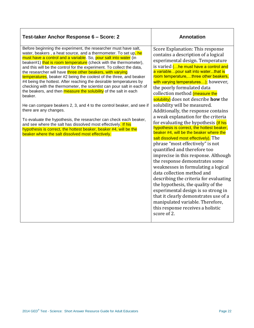| Test-taker Anchor Response 6 - Score: 2                                                                                                                                                                                                                                                                                                                                                                                                                                                                                                                                                                                                                                                                                                                                                                                                                                                                                                                                                                                                                                                 | <b>Annotation</b>                                                                                                                                                                                                                                                                                                                                                                                                                                                                                                                                                                                                                                                                                                                                                                                                                                                                                                                                                                                                                                                                                                                                            |
|-----------------------------------------------------------------------------------------------------------------------------------------------------------------------------------------------------------------------------------------------------------------------------------------------------------------------------------------------------------------------------------------------------------------------------------------------------------------------------------------------------------------------------------------------------------------------------------------------------------------------------------------------------------------------------------------------------------------------------------------------------------------------------------------------------------------------------------------------------------------------------------------------------------------------------------------------------------------------------------------------------------------------------------------------------------------------------------------|--------------------------------------------------------------------------------------------------------------------------------------------------------------------------------------------------------------------------------------------------------------------------------------------------------------------------------------------------------------------------------------------------------------------------------------------------------------------------------------------------------------------------------------------------------------------------------------------------------------------------------------------------------------------------------------------------------------------------------------------------------------------------------------------------------------------------------------------------------------------------------------------------------------------------------------------------------------------------------------------------------------------------------------------------------------------------------------------------------------------------------------------------------------|
| Before beginning the experiment, the researcher must have salt,<br>water, beakers, a heat source, and a thermometer. To set up, he<br>must have a control and a variable. So, pour salt into water (in<br>beaker#1) that is room temperature (check with the thermometer),<br>and this will be the control for the experiment. To collect the data,<br>the researcher will have three other beakers, with varying<br>temperatures, beaker #2 being the coolest of the three, and beaker<br>#4 being the hottest. After reaching the desirable temperatures by<br>checking with the thermometer, the scientist can pour salt in each of<br>the beakers, and then measure the solubility of the salt in each<br>beaker.<br>He can compare beakers 2, 3, and 4 to the control beaker, and see if<br>there are any changes.<br>To evaluate the hypothesis, the researcher can check each beaker,<br>and see where the salt has dissolved most effectively. If his<br>hypothesis is correct, the hottest beaker, beaker #4, will be the<br>beaker where the salt dissolved most effectively. | Score Explanation: This response<br>contains a description of a logical<br>experimental design. Temperature<br>is varied ( he must have a control and<br>a variablepour salt into waterthat is<br>room temperature,three other beakers,<br>with varying temperatures); however,<br>the poorly formulated data<br>collection method (measure the<br>solubility) does not describe how the<br>solubility will be measured.<br>Additionally, the response contains<br>a weak explanation for the criteria<br>for evaluating the hypothesis (If his<br>hypothesis is correct, the hottest beaker,<br>beaker #4, will be the beaker where the<br>salt dissolved most effectively). The<br>phrase "most effectively" is not<br>quantified and therefore too<br>imprecise in this response. Although<br>the response demonstrates some<br>weaknesses in formulating a logical<br>data collection method and<br>describing the criteria for evaluating<br>the hypothesis, the quality of the<br>experimental design is so strong in<br>that it clearly demonstrates use of a<br>manipulated variable. Therefore,<br>this response receives a holistic<br>score of 2. |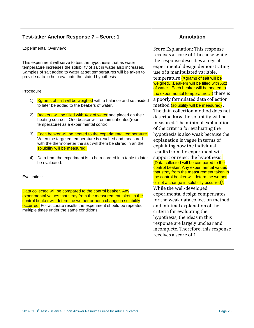| Test-taker Anchor Response 7 - Score: 1                                                                                                                                                                                                                                                                               | <b>Annotation</b>                                                                                                                                                                                                                                                              |
|-----------------------------------------------------------------------------------------------------------------------------------------------------------------------------------------------------------------------------------------------------------------------------------------------------------------------|--------------------------------------------------------------------------------------------------------------------------------------------------------------------------------------------------------------------------------------------------------------------------------|
| <b>Experimental Overview:</b><br>This experiment will serve to test the hypothesis that as water<br>temperature increases the solubility of salt in water also increases.<br>Samples of salt added to water at set temperatures will be taken to<br>provide data to help evaluate the stated hypothesis.              | Score Explanation: This response<br>receives a score of 1 because while<br>the response describes a logical<br>experimental design demonstrating<br>use of a manipulated variable,<br>temperature (Xgrams of salt will be<br>weighedBeakers will be filled with Xoz            |
| Procedure:                                                                                                                                                                                                                                                                                                            | of waterEach beaker will be heated to<br>the experimental temperature) there is                                                                                                                                                                                                |
| Xgrams of salt will be weighed with a balance and set asided<br>1)<br>to later be added to the beakers of water.                                                                                                                                                                                                      | a poorly formulated data collection<br>method (solubility will be measured).<br>The data collection method does not                                                                                                                                                            |
| Beakers will be filled with Xoz of water and placed on their<br>2)<br>heating sources. One beaker will remain unheated(room<br>temperature) as a experimental control.                                                                                                                                                | describe <b>how</b> the solubility will be<br>measured. The minimal explanation<br>of the criteria for evaluating the                                                                                                                                                          |
| Each beaker will be heated to the experimental temperature.<br>3)<br>When the targeted temperature is reached and measured<br>with the thermometer the salt will them be stirred in an the<br>solubility will be measured.                                                                                            | hypothesis is also weak because the<br>explanation is vague in terms of<br>explaining how the individual<br>results from the experiment will                                                                                                                                   |
| Data from the experiment is to be recorded in a table to later<br>4)<br>be evaluated.                                                                                                                                                                                                                                 | support or reject the hypothesis.<br>(Data collected will be compared to the<br>control beaker. Any experimental values<br>that stray from the measurement taken in                                                                                                            |
| Evaluation:                                                                                                                                                                                                                                                                                                           | the control beaker will determine wether<br>or not a change in solubility occurred).<br>While the well-developed                                                                                                                                                               |
| Data collected will be compared to the control beaker. Any<br>experimental values that stray from the measurement taken in the<br>control beaker will determine wether or not a change in solubility<br>occurred. For accurate results the experiment should be repeated<br>multiple times under the same conditions. | experimental design compensates<br>for the weak data collection method<br>and minimal explanation of the<br>criteria for evaluating the<br>hypothesis, the ideas in this<br>response are largely unclear and<br>incomplete. Therefore, this response<br>receives a score of 1. |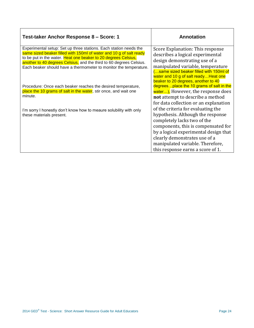| Test-taker Anchor Response 8 - Score: 1                                                                                                  | Annotation                                                                   |
|------------------------------------------------------------------------------------------------------------------------------------------|------------------------------------------------------------------------------|
| Experimental setup: Set up three stations. Each station needs the<br>same sized beaker filled with 150ml of water and 10 g of salt ready | Score Explanation: This response<br>describes a logical experimental         |
| to be put in the water. Heat one beaker to 20 degrees Celsius,<br>another to 40 degrees Celsius, and the third to 60 degrees Celsius.    | design demonstrating use of a                                                |
| Each beaker should have a thermometer to monitor the temperature.                                                                        | manipulated variable, temperature                                            |
|                                                                                                                                          | (same sized beaker filled with 150ml of                                      |
|                                                                                                                                          | water and 10 g of salt ready Heat one<br>beaker to 20 degrees, another to 40 |
| Procedure: Once each beaker reaches the desired temperature,                                                                             | degrees place the 10 grams of salt in the                                    |
| place the 10 grams of salt in the water, stir once, and wait one<br>minute.                                                              | water), However, the response does                                           |
|                                                                                                                                          | not attempt to describe a method                                             |
|                                                                                                                                          | for data collection or an explanation<br>of the criteria for evaluating the  |
| I'm sorry I honestly don't know how to meaure solubility with only<br>these materials present.                                           | hypothesis. Although the response                                            |
|                                                                                                                                          | completely lacks two of the                                                  |
|                                                                                                                                          | components, this is compensated for                                          |
|                                                                                                                                          | by a logical experimental design that                                        |
|                                                                                                                                          | clearly demonstrates use of a                                                |
|                                                                                                                                          | manipulated variable. Therefore,                                             |
|                                                                                                                                          | this response earns a score of 1.                                            |

 $\mathsf{r}$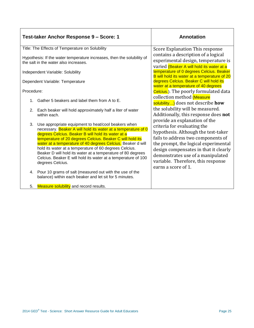| Test-taker Anchor Response 9 - Score: 1                                                                                                                                                                                                                                                                                                                                                                                                                                                                                    | <b>Annotation</b>                                                                                                                                                                                                                                                                                                            |
|----------------------------------------------------------------------------------------------------------------------------------------------------------------------------------------------------------------------------------------------------------------------------------------------------------------------------------------------------------------------------------------------------------------------------------------------------------------------------------------------------------------------------|------------------------------------------------------------------------------------------------------------------------------------------------------------------------------------------------------------------------------------------------------------------------------------------------------------------------------|
| Title: The Effects of Temperature on Solubility                                                                                                                                                                                                                                                                                                                                                                                                                                                                            | Score Explanation This response                                                                                                                                                                                                                                                                                              |
| Hypothesis: If the water temperature increases, then the solubility of<br>the salt in the water also increases.                                                                                                                                                                                                                                                                                                                                                                                                            | contains a description of a logical<br>experimental design, temperature is<br>varied (Beaker A will hold its water at a                                                                                                                                                                                                      |
| Independent Variable: Solubility                                                                                                                                                                                                                                                                                                                                                                                                                                                                                           | temperature of 0 degrees Celcius. Beaker<br>B will hold its water at a temperature of 20                                                                                                                                                                                                                                     |
| Dependent Variable: Temperature                                                                                                                                                                                                                                                                                                                                                                                                                                                                                            | degrees Celcius. Beaker C will hold its<br>water at a temperature of 40 degrees                                                                                                                                                                                                                                              |
| Procedure:                                                                                                                                                                                                                                                                                                                                                                                                                                                                                                                 | Celcius.). The poorly formulated data                                                                                                                                                                                                                                                                                        |
| 1. Gather 5 beakers and label them from A to E.                                                                                                                                                                                                                                                                                                                                                                                                                                                                            | collection method (Measure<br>solubility) does not describe how                                                                                                                                                                                                                                                              |
| Each beaker will hold approximately half a liter of water<br>2.<br>within each.                                                                                                                                                                                                                                                                                                                                                                                                                                            | the solubility will be measured.<br>Additionally, this response does not                                                                                                                                                                                                                                                     |
| Use appropriate equipment to heat/cool beakers when<br>3.<br>necessary. Beaker A will hold its water at a temperature of 0<br>degrees Celcius. Beaker B will hold its water at a<br>temperature of 20 degrees Celcius. Beaker C will hold its<br>water at a temperature of 40 degrees Celcius. Beaker d will<br>hold its water at a temperature of 60 degrees Celcius.<br>Beaker D will hold its water at a temperature of 80 degrees<br>Celcius. Beaker E will hold its water at a temperature of 100<br>degrees Celcius. | provide an explanation of the<br>criteria for evaluating the<br>hypothesis. Although the test-taker<br>fails to address two components of<br>the prompt, the logical experimental<br>design compensates in that it clearly<br>demonstrates use of a manipulated<br>variable. Therefore, this response<br>earns a score of 1. |
| Pour 10 grams of salt (measured out with the use of the<br>4.<br>balance) within each beaker and let sit for 5 minutes.                                                                                                                                                                                                                                                                                                                                                                                                    |                                                                                                                                                                                                                                                                                                                              |
| Measure solubility and record results.<br>5.                                                                                                                                                                                                                                                                                                                                                                                                                                                                               |                                                                                                                                                                                                                                                                                                                              |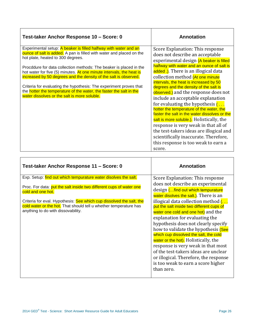| Test-taker Anchor Response 10 - Score: 0                                                                                                                                                                                                                                                                                                                                                                                                                                                                                                                                                     | <b>Annotation</b>                                                                                                                                                                                                                                                                                                                                                                                                                                                                                                                                                                                                                                                                                                                                                             |
|----------------------------------------------------------------------------------------------------------------------------------------------------------------------------------------------------------------------------------------------------------------------------------------------------------------------------------------------------------------------------------------------------------------------------------------------------------------------------------------------------------------------------------------------------------------------------------------------|-------------------------------------------------------------------------------------------------------------------------------------------------------------------------------------------------------------------------------------------------------------------------------------------------------------------------------------------------------------------------------------------------------------------------------------------------------------------------------------------------------------------------------------------------------------------------------------------------------------------------------------------------------------------------------------------------------------------------------------------------------------------------------|
| Experimental setup: A beaker is filled halfway with water and an<br>ounce of salt is added. A pan is filled with water and placed on the<br>hot plate, heated to 300 degrees.<br>Procddure for data collection methods: The beaker is placed in the<br>hot water for five (5) minutes. At one minute intervals, the heat is<br>increased by 50 degrees and the density of the salt is observed.<br>Criteria for evaluating the hypothesis: The experiment proves that<br>the hotter the temperature of the water, the faster the salt in the<br>water dissolves or the salt is more soluble. | Score Explanation: This response<br>does not describe an acceptable<br>experimental design (A beaker is filled<br>halfway with water and an ounce of salt is<br>added.). There is an illogical data<br>collection method (At one minute<br>intervals, the heat is increased by 50<br>degrees and the density of the salt is<br>observed.) and the response does not<br>include an acceptable explanation<br>for evaluating the hypothesis $( \ldots )$<br>hotter the temperature of the water, the<br>faster the salt in the water dissolves or the<br>salt is more soluble.). Holistically, the<br>response is very weak in that all of<br>the test-takers ideas are illogical and<br>scientifically inaccurate. Therefore,<br>this response is too weak to earn a<br>score. |

| Test-taker Anchor Response 11 - Score: 0                                                                                                                                                                                                                                                                                                       | <b>Annotation</b>                                                                                                                                                                                                                                                                                                                                                                                                                                                                                                                                                                                                                                                                |
|------------------------------------------------------------------------------------------------------------------------------------------------------------------------------------------------------------------------------------------------------------------------------------------------------------------------------------------------|----------------------------------------------------------------------------------------------------------------------------------------------------------------------------------------------------------------------------------------------------------------------------------------------------------------------------------------------------------------------------------------------------------------------------------------------------------------------------------------------------------------------------------------------------------------------------------------------------------------------------------------------------------------------------------|
| Exp. Setup: find out which tempurature water disolves the salt.<br>Proc. For data: put the salt inside two different cups of water one<br>cold and one hot.<br>Criteria for eval. Hypothesis: See which cup dissolved the salt, the<br>cold water or the hot. That should tell u whether temperature has<br>anything to do with dissovability. | Score Explanation: This response<br>does not describe an experimental<br>design (find out which tempurature<br>water disolves the salt.). There is an<br>illogical data collection method $\left(\ldots\right)$<br>put the salt inside two different cups of<br>water one cold and one hot) and the<br>explanation for evaluating the<br>hypothesis does not clearly specify<br>how to validate the hypothesis (See<br>which cup dissolved the salt, the cold<br>water or the hot). Holistically, the<br>response is very weak in that most<br>of the test-takers ideas are unclear<br>or illogical. Therefore, the response<br>is too weak to earn a score higher<br>than zero. |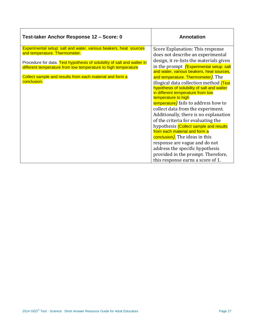| Test-taker Anchor Response 12 - Score: 0                                | <b>Annotation</b>                                                            |
|-------------------------------------------------------------------------|------------------------------------------------------------------------------|
| Experimental setup: salt and water, various beakers, heat sources       | Score Explanation: This response                                             |
| and temperature. Thermometer.                                           | does not describe an experimental                                            |
| Procedure for data: Test hypothesis of solubility of salt and walter in | design, it re-lists the materials given                                      |
| different temperature from low temperature to high temperature          | in the prompt <i>(Experimental setup: salt</i>                               |
|                                                                         | and water, various beakers, heat sources,                                    |
| Collect sample and results from each material and form a<br>conclusion. | and temperature. Thermometer). The<br>illogical data collection method (Test |
|                                                                         | hypothesis of solubility of salt and walter                                  |
|                                                                         | in different temperature from low                                            |
|                                                                         | temperature to high                                                          |
|                                                                         | temperature) fails to address how to                                         |
|                                                                         | collect data from the experiment.                                            |
|                                                                         | Additionally, there is no explanation                                        |
|                                                                         | of the criteria for evaluating the                                           |
|                                                                         | hypothesis (Collect sample and results<br>from each material and form a      |
|                                                                         | conclusion). The ideas in this                                               |
|                                                                         | response are vague and do not                                                |
|                                                                         | address the specific hypothesis                                              |
|                                                                         | provided in the prompt. Therefore,                                           |
|                                                                         | this response earns a score of 1.                                            |

 $\mathsf{r}$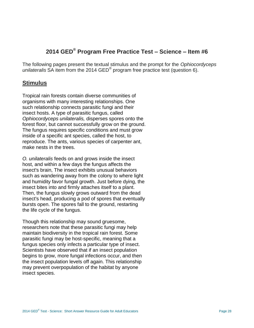# **2014 GED® Program Free Practice Test – Science – Item #6**

The following pages present the textual stimulus and the prompt for the *Ophiocordyceps unilateralis* SA item from the 2014 GED® program free practice test (question 6).

## **Stimulus**

Tropical rain forests contain diverse communities of organisms with many interesting relationships. One such relationship connects parasitic fungi and their insect hosts. A type of parasitic fungus, called *Ophiocordyceps unilateralis,* disperses spores onto the forest floor, but cannot successfully grow on the ground. The fungus requires specific conditions and must grow inside of a specific ant species, called the host, to reproduce. The ants, various species of carpenter ant, make nests in the trees.

*O. unilateralis* feeds on and grows inside the insect host, and within a few days the fungus affects the insect's brain, The insect exhibits unusual behaviors such as wandering away from the colony to where light and humidity favor fungal growth. Just before dying, the insect bites into and firmly attaches itself to a plant. Then, the fungus slowly grows outward from the dead insect's head, producing a pod of spores that eventually bursts open. The spores fall to the ground, restarting the life cycle of the fungus.

Though this relationship may sound gruesome, researchers note that these parasitic fungi may help maintain biodiversity in the tropical rain forest. Some parasitic fungi may be host-specific, meaning that a fungus species only infects a particular type of insect. Scientists have observed that if an insect population begins to grow, more fungal infections occur, and then the insect population levels off again. This relationship may prevent overpopulation of the habitat by anyone insect species.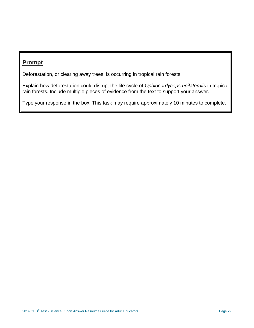# **Prompt**

Deforestation, or clearing away trees, is occurring in tropical rain forests.

Explain how deforestation could disrupt the life cycle of *Ophiocordyceps unilateralis* in tropical rain forests. Include multiple pieces of evidence from the text to support your answer.

Type your response in the box. This task may require approximately 10 minutes to complete.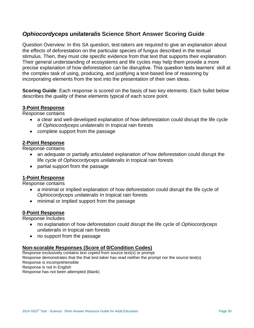# *Ophiocordyceps unilateralis* **Science Short Answer Scoring Guide**

Question Overview: In this SA question, test-takers are required to give an explanation about the effects of deforestation on the particular species of fungus described in the textual stimulus. Then, they must cite specific evidence from that text that supports their explanation. Their general understanding of ecosystems and life cycles may help them provide a more precise explanation of how deforestation can be disruptive. This question tests learners' skill at the complex task of using, producing, and justifying a text-based line of reasoning by incorporating elements from the text into the presentation of their own ideas.

**Scoring Guide**: Each response is scored on the basis of two key elements. Each bullet below describes the *quality* of these elements typical of each score point.

#### **3-Point Response**

Response contains

- a clear and well-developed explanation of how deforestation could disrupt the life cycle of *Ophiocordyceps unilateralis* In tropical rain forests
- complete support from the passage

#### **2-Point Response**

Response contains

- an adequate or partially articulated explanation *of* how deforestation could disrupt the life cycle of *Ophiocordyceps unilateralis* in tropical rain forests
- partial support from the passage

#### **1-Point Response**

Response contains

- a minimal or implied explanation of how deforestation could disrupt the life cycle of *Ophiocordyceps unilateralis* In tropical rain forests
- minimal or implied support from the passage

#### **0-Point Response**

Response Includes

- no explanation of how deforestation could disrupt the life cycle of *Ophiocordyceps unilateralis* in tropical rain forests
- no support from the passage

#### **Non-scorable Responses (Score of 0/Condition Codes)**

Response exclusively contains text copied from source text(s) or prompt Response demonstrates that the that test-taker has read neither the prompt nor the source text(s) Response is incomprehensible Response is not in English Response has not been attempted (blank)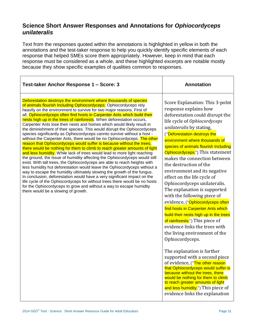## **Science Short Answer Responses and Annotations for** *Ophiocordyceps unilateralis*

Text from the responses quoted within the annotations is highlighted in yellow in both the annotations and the test-taker response to help you quickly identify specific elements of each response that helped SMEs score them appropriately. However, keep in mind that each response must be considered as a whole, and these highlighted excerpts are notable mostly because they show specific examples of qualities common to responses.

| Test-taker Anchor Response 1 – Score: 3                                                                                                                                                                                                                                                                                                                                                                                                                                                                                                                                                                                                                                                                                                                                                                                                                                                                                                                                                                                                                                                                                                                                                                                                                                                                                                                                                                                                                                                                       | <b>Annotation</b>                                                                                                                                                                                                                                                                                                                                                                                                                                                                                                                                                                                                                                                                                                                                                                                                                                                                                                                                                                                                                                                                                          |
|---------------------------------------------------------------------------------------------------------------------------------------------------------------------------------------------------------------------------------------------------------------------------------------------------------------------------------------------------------------------------------------------------------------------------------------------------------------------------------------------------------------------------------------------------------------------------------------------------------------------------------------------------------------------------------------------------------------------------------------------------------------------------------------------------------------------------------------------------------------------------------------------------------------------------------------------------------------------------------------------------------------------------------------------------------------------------------------------------------------------------------------------------------------------------------------------------------------------------------------------------------------------------------------------------------------------------------------------------------------------------------------------------------------------------------------------------------------------------------------------------------------|------------------------------------------------------------------------------------------------------------------------------------------------------------------------------------------------------------------------------------------------------------------------------------------------------------------------------------------------------------------------------------------------------------------------------------------------------------------------------------------------------------------------------------------------------------------------------------------------------------------------------------------------------------------------------------------------------------------------------------------------------------------------------------------------------------------------------------------------------------------------------------------------------------------------------------------------------------------------------------------------------------------------------------------------------------------------------------------------------------|
| Deforestation destroys the environment where thousands of species<br>of animals flourish Including Ophiocordyceps. Ophiocordyceps rely<br>heavily on the environment to survive for two major reasons. First of<br>all, Ophiocordyceps often find hosts in Carpenter Ants which build their<br>nests high up in the trees of rainforests. When deforestation occurs,<br>Carpenter Ants lose their nests and homes which would likely result in<br>the diminishment of their species. This would disrupt the Ophiocordyceps<br>species significantly as Ophiocordyceps cannto survive without a host -<br>without the Carpenter Ants, there would be no Ophiocordyceps. The other<br>reason that Ophiocordyceps would suffer is because without the trees,<br>there would be nothing for them to climb to reach greater amounts of light<br>and less humidity. While lack of trees would lead to more light reaching<br>the ground, the Issue of humidity affecting the Ophiocordyceps would still<br>exist. With tall trees, the Ophiocordyceps are able to reach heights with<br>less humidity hut deforestation would leave the Ophiocordyceps without a<br>way to escape the humidity ultimately slowing the growth of the fungus.<br>In conclusion, deforestation would have a very significant impact on the<br>life cycle of the Ophiocordyceps for without trees there would be no hosts<br>for the Ophiocordyceps to grow and without a way to escape humidity<br>there would be a slowing of growth. | Score Explanation: This 3-polnt<br>response explains how<br>deforestation could disrupt the<br>life cycle of Ophiocordyceps<br>unilateralis by stating,<br>("Deforestation destroys the<br>environment where thousands of<br>species of animals flourish Including<br>Ophiocordyceps.") This statement<br>makes the connection between<br>the destruction of the<br>environment and its negative<br>effect on the life cycle of<br>Ophiocordyceps unilateralis.<br>The explanation is supported<br>with the following piece of<br>evidence, ("Ophiocordyceps often<br>find hosts in Carpenter Ants which<br>build their nests high up in the trees<br>of rainforests.") This piece of<br>evidence links the trees with<br>the living environment of the<br>Ophiocordyceps.<br>The explanation is further<br>supported with a second piece<br>of evidence, ("The other reason<br>that Ophiocordyceps would suffer is<br>because without the trees, there<br>would be nothing for them to climb<br>to reach greater amounts of light<br>and less humidity.") This piece of<br>evidence links the explanation |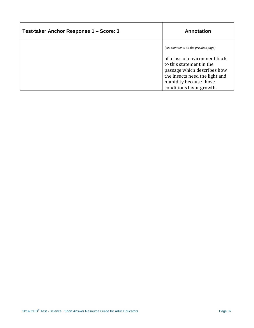| Test-taker Anchor Response 1 – Score: 3 | Annotation                                                                                                                                           |
|-----------------------------------------|------------------------------------------------------------------------------------------------------------------------------------------------------|
|                                         | (see comments on the previous page)                                                                                                                  |
|                                         | of a loss of environment back<br>to this statement in the<br>passage which describes how<br>the insects need the light and<br>humidity because those |
|                                         | conditions favor growth.                                                                                                                             |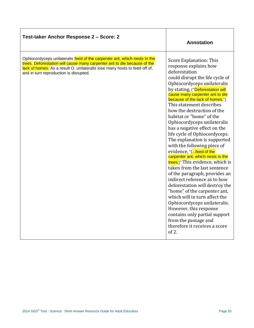| Test-taker Anchor Response 2 - Score: 2                                                                                                                                                                                                                                       | Annotation                                                                                                                                                                                                                                                                                                                                                                                                                                                                                                                                                                                                                                                                                                                                                                                                                                                                                                                                                              |
|-------------------------------------------------------------------------------------------------------------------------------------------------------------------------------------------------------------------------------------------------------------------------------|-------------------------------------------------------------------------------------------------------------------------------------------------------------------------------------------------------------------------------------------------------------------------------------------------------------------------------------------------------------------------------------------------------------------------------------------------------------------------------------------------------------------------------------------------------------------------------------------------------------------------------------------------------------------------------------------------------------------------------------------------------------------------------------------------------------------------------------------------------------------------------------------------------------------------------------------------------------------------|
| Ophiocordyceps unilateralis feed of the carpenter ant, which nests In the<br>trees. Deforestation will cause many carpenter ant to die because of the<br>lack of homes. As a result O. unilateralis lose many hosts to feed off of,<br>and in turn reproduction is disrupted. | Score Explanation: This<br>response explains how<br>deforestation<br>could disrupt the life cycle of<br>Ophiocordyceps unilateralis<br>by stating, ("Deforestation will<br>cause many carpenter ant to die<br>because of the lack of homes.")<br>This statement describes<br>how the destruction of the<br>habitat or "home" of the<br>Ophiocordyceps unilateralis<br>has a negative effect on the<br>life cycle of Ophiocordyceps.<br>The explanation is supported<br>with the following piece of<br>evidence, "(feed of the<br>carpenter ant, which nests in the<br>trees.)" This evidence, which is<br>taken from the last sentence<br>of the paragraph, provides an<br>indirect reference as to how<br>deforestation will destroy the<br>"home" of the carpenter ant,<br>which will in turn affect the<br>Ophiocordyceps unilateralis.<br>However, this response<br>contains only partial support<br>from the passage and<br>therefore it receives a score<br>of 2. |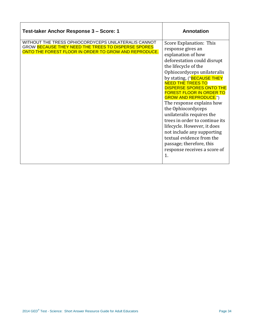| Test-taker Anchor Response 3 - Score: 1                                                                                                                              | <b>Annotation</b>                                                                                                                                                                                                                                                                                                                                                                                                                                                                                                                                                                                       |
|----------------------------------------------------------------------------------------------------------------------------------------------------------------------|---------------------------------------------------------------------------------------------------------------------------------------------------------------------------------------------------------------------------------------------------------------------------------------------------------------------------------------------------------------------------------------------------------------------------------------------------------------------------------------------------------------------------------------------------------------------------------------------------------|
| WITHOUT THE TRESS OPHIOCORDYCEPS UNILATERALIS CANNOT<br>GROW BECAUSE THEY NEED THE TREES TO DISPERSE SPORES<br>ONTO THE FOREST FLOOR IN ORDER TO GROW AND REPRODUCE. | Score Explanation: This<br>response gives an<br>explanation of how<br>deforestation could disrupt<br>the lifecycle of the<br>Ophiocordyceps unilateralis<br>by stating, ("BECAUSE THEY<br><b>NEED THE TREES TO</b><br><b>DISPERSE SPORES ONTO THE</b><br><b>FOREST FLOOR IN ORDER TO</b><br><b>GROW AND REPRODUCE.</b> ")<br>The response explains how<br>the Ophiocordyceps<br>unilateralis requires the<br>trees in order to continue its<br>lifecycle. However, it does<br>not include any supporting<br>textual evidence from the<br>passage; therefore, this<br>response receives a score of<br>1. |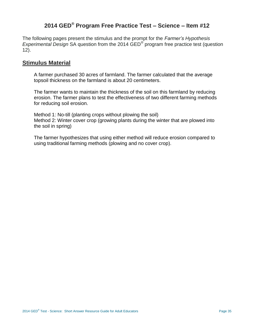## **2014 GED® Program Free Practice Test – Science – Item #12**

The following pages present the stimulus and the prompt for the *Farmer's Hypothesis Experimental Design* SA question from the 2014 GED® program free practice test (question 12).

## **Stimulus Material**

A farmer purchased 30 acres of farmland. The farmer calculated that the average topsoil thickness on the farmland is about 20 centimeters.

The farmer wants to maintain the thickness of the soil on this farmland by reducing erosion. The farmer plans to test the effectiveness of two different farming methods for reducing soil erosion.

Method 1: No-till (planting crops without plowing the soil) Method 2: Winter cover crop (growing plants during the winter that are plowed into the soil in spring)

The farmer hypothesizes that using either method will reduce erosion compared to using traditional farming methods (plowing and no cover crop).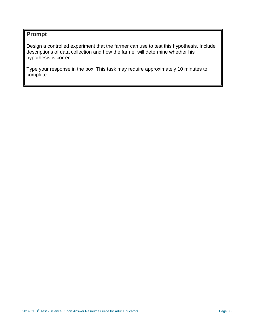## **Prompt**

Design a controlled experiment that the farmer can use to test this hypothesis. Include descriptions of data collection and how the farmer will determine whether his hypothesis is correct.

Type your response in the box. This task may require approximately 10 minutes to complete.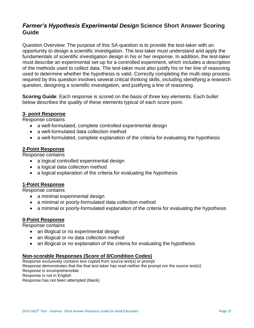## *Farmer's Hypothesis Experimental Design* **Science Short Answer Scoring Guide**

Question Overview: The purpose of this SA question is to provide the test-taker with an opportunity to design a scientific investigation. The test-taker must understand and apply the fundamentals of scientific investigation design in his or her response. In addition, the test-taker must describe an experimental set-up for a controlled experiment, which includes a description of the methods used to collect data. The test-taker must also justify his or her line of reasoning used to determine whether the hypothesis is valid. Correctly completing the multi-step process required by this question involves several critical thinking skills, including identifying a research question, designing a scientific investigation, and justifying a line of reasoning.

**Scoring Guide**: Each response is scored on the basis of three key elements. Each bullet below describes the *quality* of these elements typical of each score point.

#### **3- point Response**

Response contains

- a well-formulated, complete controlled experimental design
- a well-formulated data collection method
- a well-formulated, complete explanation of the criteria for evaluating the hypothesis

#### **2-Point Response**

Response contains

- a logical controlled experimental design
- a logical data collection method
- a logical explanation of the criteria for evaluating the hypothesis

## **1-Point Response**

Response contains

- a minimal experimental design
- a minimal or poorly-formulated data collection method
- a minimal or poorly-formulated explanation of the criteria for evaluating the hypothesis

## **0-Point Response**

Response contains

- an illogical or no experimental design
- an illogical or no data collection method
- an illogical or no explanation of the criteria for evaluating the hypothesis

#### **Non-scorable Responses (Score of 0/Condition Codes)**

Response exclusively contains text copied from source text(s) or prompt Response demonstrates that the that test-taker has read neither the prompt nor the source text(s) Response is incomprehensible Response is not in English Response has not been attempted (blank)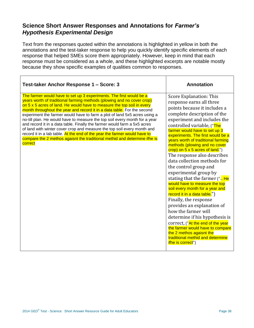## **Science Short Answer Responses and Annotations for** *Farmer's Hypothesis Experimental Design*

Text from the responses quoted within the annotations is highlighted in yellow in both the annotations and the test-taker response to help you quickly identify specific elements of each response that helped SMEs score them appropriately. However, keep in mind that each response must be considered as a whole, and these highlighted excerpts are notable mostly because they show specific examples of qualities common to responses.

| Test-taker Anchor Response 1 - Score: 3                                                                                                                                                                                                                                                                                                                                                                                                                                                                                                                                                                                                                                                                                                                                                   | <b>Annotation</b>                                                                                                                                                                                                                                                                                                                                                                                                                                                                                                                                                                                                                                                                                                                                                                                                                                                                                  |
|-------------------------------------------------------------------------------------------------------------------------------------------------------------------------------------------------------------------------------------------------------------------------------------------------------------------------------------------------------------------------------------------------------------------------------------------------------------------------------------------------------------------------------------------------------------------------------------------------------------------------------------------------------------------------------------------------------------------------------------------------------------------------------------------|----------------------------------------------------------------------------------------------------------------------------------------------------------------------------------------------------------------------------------------------------------------------------------------------------------------------------------------------------------------------------------------------------------------------------------------------------------------------------------------------------------------------------------------------------------------------------------------------------------------------------------------------------------------------------------------------------------------------------------------------------------------------------------------------------------------------------------------------------------------------------------------------------|
| The farmer would have to set up 3 experiments. The first would be a<br>years worth of traditional farming methods (plowing and no cover crop)<br>on 5 x 5 acres of land. He would have to measure the top soil in every<br>month throughout the year and record it in a data table. For the second<br>experiment the farmer would have to farm a plot of land 5x5 acres using a<br>no-till plan. He would have to measure the top soil every month for a year<br>and record it in a data table. Finally the farmer would farm a 5x5 acres<br>of land with winter cover crop and measure the top soil every month and<br>record it in a lab table. At the end of the year the farmer would have to<br>compare the 2 methos agaisnt the traditional methid and determine ifhe is<br>correct | Score Explanation: This<br>response earns all three<br>points because it includes a<br>complete description of the<br>experiment and includes the<br>controlled variable, ("The<br>farmer would have to set up 3<br>experiments. The first would be a<br>years worth of traditional farming<br>methods (plowing and no cover<br>crop) on 5 x 5 acres of land.")<br>The response also describes<br>data collection methods for<br>the control group and<br>experimental group by<br>stating that the farmer (" He<br>would have to measure the top<br>soil every month for a year and<br>record it in a data table.")<br>Finally, the response<br>provides an explanation of<br>how the farmer will<br>determine if his hypothesis is<br>correct, ("At the end of the year<br>the farmer would have to compare<br>the 2 methos agaisnt the<br>traditional methid and determine<br>ifhe is correct") |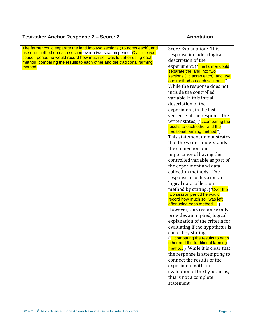| Test-taker Anchor Response 2 - Score: 2                                                                                                                                                                                                                                                                           | <b>Annotation</b>                                                                                                                                                                                                                                                                                                                                                                                                                                                                                                                                                                                                                                                                                                                                                                                                                                                                                                                                                                                                                                                                                                                                                                                                                                                                                                             |
|-------------------------------------------------------------------------------------------------------------------------------------------------------------------------------------------------------------------------------------------------------------------------------------------------------------------|-------------------------------------------------------------------------------------------------------------------------------------------------------------------------------------------------------------------------------------------------------------------------------------------------------------------------------------------------------------------------------------------------------------------------------------------------------------------------------------------------------------------------------------------------------------------------------------------------------------------------------------------------------------------------------------------------------------------------------------------------------------------------------------------------------------------------------------------------------------------------------------------------------------------------------------------------------------------------------------------------------------------------------------------------------------------------------------------------------------------------------------------------------------------------------------------------------------------------------------------------------------------------------------------------------------------------------|
| The farmer could separate the land into two sections (15 acres each), and<br>use one method on each section over a two season period. Over the two<br>season period he would record how much soil was left after using each<br>method, comparing the results to each other and the traditional farming<br>method. | Score Explanation: This<br>response include a logical<br>description of the<br>experiment, ("The farmer could<br>separate the land into two<br>sections (15 acres each), and use<br>one method on each section")<br>While the response does not<br>include the controlled<br>variable in this initial<br>description of the<br>experiment, in the last<br>sentence of the response the<br>writer states, ("comparing the<br>results to each other and the<br>traditional farming method.")<br>This statement demonstrates<br>that the writer understands<br>the connection and<br>importance of having the<br>controlled variable as part of<br>the experiment and data<br>collection methods. The<br>response also describes a<br>logical data collection<br>method by stating, ("Over the<br>two season period he would<br>record how much soil was left<br>after using each method")<br>However, this response only<br>provides an implied, logical<br>explanation of the criteria for<br>evaluating if the hypothesis is<br>correct by stating,<br>("comparing the results to each<br>other and the traditional farming<br>method.") While it is clear that<br>the response is attempting to<br>connect the results of the<br>experiment with an<br>evaluation of the hypothesis,<br>this is not a complete<br>statement. |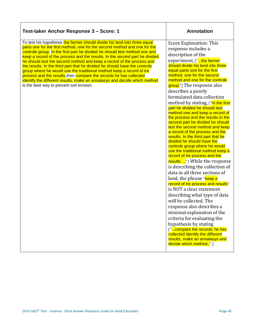| Test-taker Anchor Response 3 - Score: 1                                                                                                                                                                                                                                                                                                                                                                                                                                                                                                                                                                                                                                                                                                           | <b>Annotation</b>                                                                                                                                                                                                                                                                                                                                                                                                                                                                                                                                                                                                                                                                                                                                                                                                                                                                                                                                                                                                                                                                                                                                                                                                                                                                       |
|---------------------------------------------------------------------------------------------------------------------------------------------------------------------------------------------------------------------------------------------------------------------------------------------------------------------------------------------------------------------------------------------------------------------------------------------------------------------------------------------------------------------------------------------------------------------------------------------------------------------------------------------------------------------------------------------------------------------------------------------------|-----------------------------------------------------------------------------------------------------------------------------------------------------------------------------------------------------------------------------------------------------------------------------------------------------------------------------------------------------------------------------------------------------------------------------------------------------------------------------------------------------------------------------------------------------------------------------------------------------------------------------------------------------------------------------------------------------------------------------------------------------------------------------------------------------------------------------------------------------------------------------------------------------------------------------------------------------------------------------------------------------------------------------------------------------------------------------------------------------------------------------------------------------------------------------------------------------------------------------------------------------------------------------------------|
| To test his hypothesis the farmer should divide his land into three equal<br>parts one for the first method, one for the second method and one for the<br>controle group. In the first part he divided he should test method one and<br>keep a record of the process and the results. In the second part he divided<br>he should test the second method and keep a record of the process and<br>the results. In the third part that he divided he should have the controle<br>group where he would use the traditional method keep a record of tre<br>process and the results, then compare the records he has collected<br>identify the different results, make an annalasys and decide which method<br>is the best way to prevent soil erosion. | Score Explanation: This<br>response includes a<br>description of the<br>experiment, ("the farmer<br>should divide his land into three<br>equal parts one for the first<br>method, one for the second<br>method and one for the controle<br>group.") The response also<br>describes a poorly<br>formulated data collection<br>method by stating, ("In the first<br>part he divided he should test<br>method one and keep a record of<br>the process and the results. In the<br>second part he divided he should<br>test the second method and keep<br>a record of the process and the<br>results. In the third part that he<br>divided he should have the<br>controle group where he would<br>use the traditional method keep a<br>record of tre process and the<br>results ") While the response<br>is describing the collection of<br>data in all three sections of<br>land, the phrase " <b>keep a</b><br>record of tre process and results"<br>is NOT a clear statement<br>describing what type of data<br>will be collected. The<br>response also describes a<br>minimal explanation of the<br>criteria for evaluating the<br>hypothesis by stating<br>("compare the records he has<br>collected identify the different<br>results, make an annalasys and<br>decide which method".) |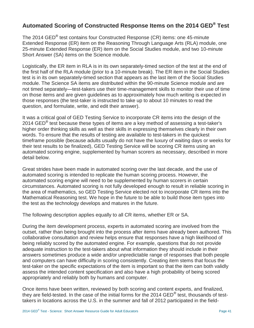# **Automated Scoring of Constructed Response Items on the 2014 GED® Test**

The 2014 GED<sup>®</sup> test contains four Constructed Response (CR) items: one 45-minute Extended Response (ER) item on the Reasoning Through Language Arts (RLA) module, one 25-minute Extended Response (ER) item on the Social Studies module, and two 10-minute Short Answer (SA) items on the Science module.

Logistically, the ER item in RLA is in its own separately-timed section of the test at the end of the first half of the RLA module (prior to a 10-minute break). The ER item in the Social Studies test is in its own separately-timed section that appears as the last item of the Social Studies module. The Science SA items are distributed within the 90-minute Science module and are not timed separately—test-takers use their time-management skills to monitor their use of time on those items and are given guidelines as to approximately how much writing is expected in those responses (the test-taker is instructed to take up to about 10 minutes to read the question, and formulate, write, and edit their answer).

It was a critical goal of GED Testing Service to incorporate CR items into the design of the 2014 GED<sup>®</sup> test because these types of items are a key method of assessing a test-taker's higher order thinking skills as well as their skills in expressing themselves clearly in their own words. To ensure that the results of testing are available to test-takers in the quickest timeframe possible (because adults usually do not have the luxury of waiting days or weeks for their test results to be finalized), GED Testing Service will be scoring CR items using an automated scoring engine, supplemented by human scorers as necessary, described in more detail below.

Great strides have been made in automated scoring over the last decade, and the use of automated scoring is intended to replicate the human scoring process. However, the automated scoring engine will need to be supplemented by human scorers in certain circumstances. Automated scoring is not fully developed enough to result in reliable scoring in the area of mathematics, so GED Testing Service elected not to incorporate CR items into the Mathematical Reasoning test. We hope in the future to be able to build those item types into the test as the technology develops and matures in the future.

The following description applies equally to all CR items, whether ER or SA.

During the item development process, experts in automated scoring are involved from the outset, rather than being brought into the process after items have already been authored. This collaborative consultation and review helps ensure that responses have a high likelihood of being reliably scored by the automated engine. For example, questions that do not provide adequate instruction to the test-takers about what information they should include in their answers sometimes produce a wide and/or unpredictable range of responses that both people and computers can have difficulty in scoring consistently. Creating item stems that focus the test-taker on the specific expectations of the item is important so that the item can both validly assess the intended content specification and also have a high probability of being scored appropriately and reliably both by humans and computer.

Once items have been written, reviewed by both scoring and content experts, and finalized, they are field-tested. In the case of the initial forms for the 2014 GED® test, thousands of testtakers in locations across the U.S. in the summer and fall of 2012 participated in the field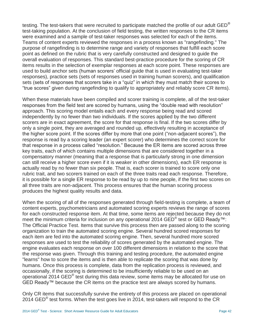testing. The test-takers that were recruited to participate matched the profile of our adult  $GED^{\circledast}$ test-taking population. At the conclusion of field testing, the written responses to the CR items were examined and a sample of test-taker responses was selected for each of the items. Teams of content experts reviewed the responses in a process known as "rangefinding." The purpose of rangefinding is to determine range and variety of responses that fulfill each score point as defined on the rubric that is very carefully constructed and designed to guide the overall evaluation of responses. This standard best-practice procedure for the scoring of CR items results in the selection of exemplar responses at each score point. These responses are used to build anchor sets (human scorers' official guide that is used in evaluating test-taker responses), practice sets (sets of responses used in training human scorers), and qualification sets (sets of responses that scorers take in a "quiz" in which they must match their scores to "true scores" given during rangefinding to qualify to appropriately and reliably score CR items).

When these materials have been compiled and scorer training is complete, all of the test-taker responses from the field test are scored by humans, using the "double read with resolution" approach. This scoring model entails each and every response being read and scored independently by no fewer than two individuals. If the scores applied by the two different scorers are in exact agreement, the score for that response is final. If the two scores differ by only a single point, they are averaged and rounded up, effectively resulting in acceptance of the higher score point. If the scores differ by more that one point ("non-adjacent scores"), the response is read by a scoring leader (an expert scorer) who determines the correct score for that response in a process called "resolution." Because the ER items are scored across three key traits, each of which contains multiple dimensions that are considered together in a compensatory manner (meaning that a response that is particularly strong in one dimension can still receive a higher score even if it is weaker in other dimensions), each ER response is actually read by no fewer than six people. That is, each scorer is trained to score only one rubric trait, and two scorers trained on each of the three traits read each response. Therefore, it is possible for a single ER response to be read by up to nine people, if the first two scores on all three traits are non-adjacent. This process ensures that the human scoring process produces the highest quality results and data.

When the scoring of all of the responses generated through field-testing is complete, a team of content experts, psychometricians and automated scoring experts reviews the range of scores for each constructed response item. At that time, some items are rejected because they do not meet the minimum criteria for inclusion on any operational 2014 GED® test or GED Ready<sup>™</sup>: The Official Practice Test. Items that survive this process then are passed along to the scoring organization to train the automated scoring engine. Several hundred scored responses for each item are fed into the automated scoring engine. Then, several hundred more scored responses are used to test the reliability of scores generated by the automated engine. The engine evaluates each response on over 100 different dimensions in relation to the score that the response was given. Through this training and testing procedure, the automated engine "learns" how to score the items and is then able to replicate the scoring that was done by humans. Once this process is complete, data from the replication process is reviewed, and occasionally, if the scoring is determined to be insufficiently reliable to be used on an operational 2014 GED<sup>®</sup> test during this data review, some items may be allocated for use on GED Ready™ because the CR items on the practice test are always scored by humans.

Only CR items that successfully survive the entirety of this process are placed on operational 2014 GED<sup>®</sup> test forms. When the test goes live in 2014, test-takers will respond to the CR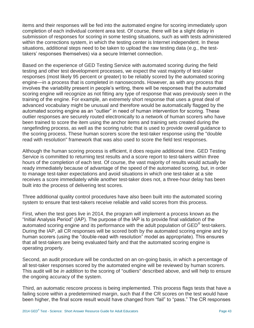items and their responses will be fed into the automated engine for scoring immediately upon completion of each individual content area test. Of course, there will be a slight delay in submission of responses for scoring in some testing situations, such as with tests administered within the corrections system, in which the testing center is Internet independent. In these situations, additional steps need to be taken to upload the raw testing data (e.g., the testtakers' responses themselves) via a secure Internet connection.

Based on the experience of GED Testing Service with automated scoring during the field testing and other test development processes, we expect the vast majority of test-taker responses (most likely 95 percent or greater) to be reliably scored by the automated scoring engine—in a process that is completed in nanoseconds. However, as with any process that involves the variability present in people's writing, there will be responses that the automated scoring engine will recognize as not fitting any type of response that was previously seen in the training of the engine. For example, an extremely short response that uses a great deal of advanced vocabulary might be unusual and therefore would be automatically flagged by the automated scoring engine as an "outlier" in need of human intervention for scoring. These outlier responses are securely routed electronically to a network of human scorers who have been trained to score the item using the anchor items and training sets created during the rangefinding process, as well as the scoring rubric that is used to provide overall guidance to the scoring process. These human scorers score the test-taker response using the "double read with resolution" framework that was also used to score the field test responses.

Although the human scoring process is efficient, it does require additional time. GED Testing Service is committed to returning test results and a score report to test-takers within three hours of the completion of each test. Of course, the vast majority of results would actually be ready immediately because of advantage of the speed of the automated scoring, but, in order to manage test-taker expectations and avoid situations in which one test-taker at a site receives a score immediately while another test-taker does not, a three-hour delay has been built into the process of delivering test scores.

Three additional quality control procedures have also been built into the automated scoring system to ensure that test-takers receive reliable and valid scores from this process.

First, when the test goes live in 2014, the program will implement a process known as the "Initial Analysis Period" (IAP). The purpose of the IAP is to provide final validation of the automated scoring engine and its performance with the adult population of GED® test-takers. During the IAP, all CR responses will be scored both by the automated scoring engine and by human scorers (using the "double-read with resolution" model as appropriate). This ensures that all test-takers are being evaluated fairly and that the automated scoring engine is operating properly.

Second, an audit procedure will be conducted on an on-going basis, in which a percentage of all test-taker responses scored by the automated engine will be reviewed by human scorers. This audit will be *in addition* to the scoring of "outliers" described above, and will help to ensure the ongoing accuracy of the system.

Third, an automatic rescore process is being implemented. This process flags tests that have a failing score within a predetermined margin, such that if the CR scores on the test would have been higher, the final score result would have changed from "fail" to "pass." The CR responses